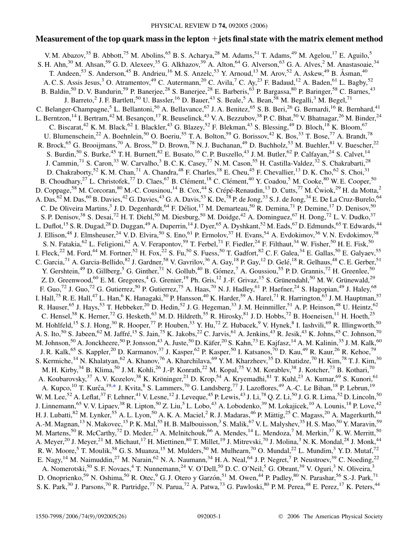# **Measurement of the top quark mass in the lepton jets final state with the matrix element method**

<span id="page-0-0"></span>V. M. Abazov,  $35$  B. Abbott,  $75$  M. Abolins,  $65$  B. S. Acharya,  $28$  M. Adams,  $51$  T. Adams,  $49$  M. Agelou,  $17$  E. Aguilo,  $5$ S. H. Ahn,<sup>30</sup> M. Ahsan,<sup>59</sup> G. D. Alexeev,<sup>35</sup> G. Alkhazov,<sup>39</sup> A. Alton,<sup>64</sup> G. Alverson,<sup>63</sup> G. A. Alves,<sup>2</sup> M. Anastasoaie,<sup>34</sup> T. Andeen,<sup>53</sup> S. Anderson,<sup>45</sup> B. Andrieu,<sup>16</sup> M. S. Anzelc,<sup>53</sup> Y. Arnoud,<sup>13</sup> M. Arov,<sup>52</sup> A. Askew,<sup>49</sup> B. Åsman,<sup>40</sup> A. C. S. Assis Jesus,<sup>3</sup> O. Atramentov,<sup>49</sup> C. Autermann,<sup>20</sup> C. Avila,<sup>7</sup> C. Ay,<sup>23</sup> F. Badaud,<sup>12</sup> A. Baden,<sup>61</sup> L. Bagby,<sup>52</sup> B. Baldin,<sup>50</sup> D. V. Bandurin,<sup>59</sup> P. Banerjee,<sup>28</sup> S. Banerjee,<sup>28</sup> E. Barberis,<sup>63</sup> P. Bargassa,<sup>80</sup> P. Baringer,<sup>58</sup> C. Barnes,<sup>43</sup> J. Barreto,<sup>2</sup> J. F. Bartlett,<sup>50</sup> U. Bassler,<sup>16</sup> D. Bauer,<sup>43</sup> S. Beale,<sup>5</sup> A. Bean,<sup>58</sup> M. Begalli,<sup>3</sup> M. Begel,<sup>71</sup> C. Belanger-Champagne,<sup>5</sup> L. Bellantoni,<sup>50</sup> A. Bellavance,<sup>67</sup> J. A. Benitez,<sup>65</sup> S. B. Beri,<sup>26</sup> G. Bernardi,<sup>16</sup> R. Bernhard,<sup>41</sup> L. Berntzon, <sup>14</sup> I. Bertram, <sup>42</sup> M. Besançon, <sup>17</sup> R. Beuselinck, <sup>43</sup> V. A. Bezzubov, <sup>38</sup> P. C. Bhat, <sup>50</sup> V. Bhatnagar, <sup>26</sup> M. Binder, <sup>24</sup> C. Biscarat,<sup>42</sup> K. M. Black,<sup>62</sup> I. Blackler,<sup>43</sup> G. Blazey,<sup>52</sup> F. Blekman,<sup>43</sup> S. Blessing,<sup>49</sup> D. Bloch,<sup>18</sup> K. Bloom,<sup>67</sup> U. Blumenschein,<sup>22</sup> A. Boehnlein,<sup>50</sup> O. Boeriu,<sup>55</sup> T. A. Bolton,<sup>59</sup> G. Borissov,<sup>42</sup> K. Bos,<sup>33</sup> T. Bose,<sup>77</sup> A. Brandt,<sup>78</sup> R. Brock,<sup>65</sup> G. Brooijmans,<sup>70</sup> A. Bross,<sup>50</sup> D. Brown,<sup>78</sup> N. J. Buchanan,<sup>49</sup> D. Buchholz,<sup>53</sup> M. Buehler,<sup>81</sup> V. Buescher,<sup>22</sup> S. Burdin,<sup>50</sup> S. Burke,<sup>45</sup> T. H. Burnett,<sup>82</sup> E. Busato,<sup>16</sup> C. P. Buszello,<sup>43</sup> J. M. Butler,<sup>62</sup> P. Calfayan,<sup>24</sup> S. Calvet,<sup>14</sup> J. Cammin,<sup>71</sup> S. Caron,<sup>33</sup> W. Carvalho,<sup>3</sup> B. C. K. Casey,<sup>77</sup> N. M. Cason,<sup>55</sup> H. Castilla-Valdez,<sup>32</sup> S. Chakrabarti,<sup>28</sup> D. Chakraborty,<sup>52</sup> K. M. Chan,<sup>71</sup> A. Chandra,<sup>48</sup> F. Charles,<sup>18</sup> E. Cheu,<sup>45</sup> F. Chevallier,<sup>13</sup> D. K. Cho,<sup>62</sup> S. Choi,<sup>31</sup> B. Choudhary,<sup>27</sup> L. Christofek,<sup>77</sup> D. Claes,<sup>67</sup> B. Clément,<sup>18</sup> C. Clément,<sup>40</sup> Y. Coadou,<sup>5</sup> M. Cooke,<sup>80</sup> W. E. Cooper,<sup>50</sup> D. Coppage,<sup>58</sup> M. Corcoran,<sup>80</sup> M.-C. Cousinou,<sup>14</sup> B. Cox,<sup>44</sup> S. Crépé-Renaudin,<sup>13</sup> D. Cutts,<sup>77</sup> M. Ćwiok,<sup>29</sup> H. da Motta,<sup>2</sup> A. Das,  $^{62}$  M. Das,  $^{60}$  B. Davies,  $^{42}$  G. Davies,  $^{43}$  G. A. Davis,  $^{53}$  K. De,  $^{78}$  P. de Jong,  $^{33}$  S. J. de Jong,  $^{34}$  E. De La Cruz-Burelo,  $^{64}$ C. De Oliveira Martins,<sup>3</sup> J. D. Degenhardt,<sup>64</sup> F. Déliot,<sup>17</sup> M. Demarteau,<sup>50</sup> R. Demina,<sup>71</sup> P. Demine,<sup>17</sup> D. Denisov,<sup>50</sup> S. P. Denisov,<sup>38</sup> S. Desai,<sup>72</sup> H. T. Diehl,<sup>50</sup> M. Diesburg,<sup>50</sup> M. Doidge,<sup>42</sup> A. Dominguez,<sup>67</sup> H. Dong,<sup>72</sup> L. V. Dudko,<sup>37</sup> L. Duflot,<sup>15</sup> S. R. Dugad,<sup>28</sup> D. Duggan,<sup>49</sup> A. Duperrin,<sup>14</sup> J. Dyer,<sup>65</sup> A. Dyshkant,<sup>52</sup> M. Eads,<sup>67</sup> D. Edmunds,<sup>65</sup> T. Edwards,<sup>44</sup> J. Ellison,<sup>48</sup> J. Elmsheuser,<sup>24</sup> V. D. Elvira,<sup>50</sup> S. Eno,<sup>61</sup> P. Ermolov,<sup>37</sup> H. Evans,<sup>54</sup> A. Evdokimov,<sup>36</sup> V. N. Evdokimov,<sup>38</sup> S. N. Fatakia,  $^{62}$  L. Feligioni,  $^{62}$  A. V. Ferapontov,  $^{59}$  T. Ferbel,  $^{71}$  F. Fiedler,  $^{24}$  F. Filthaut,  $^{34}$  W. Fisher,  $^{50}$  H. E. Fisk,  $^{50}$ I. Fleck,<sup>22</sup> M. Ford,<sup>44</sup> M. Fortner,<sup>52</sup> H. Fox,<sup>22</sup> S. Fu,<sup>50</sup> S. Fuess,<sup>50</sup> T. Gadfort,<sup>82</sup> C. F. Galea,<sup>34</sup> E. Gallas,<sup>50</sup> E. Galyaev,<sup>55</sup> C. Garcia,  $^{71}$  A. Garcia-Bellido,  $^{82}$  J. Gardner,  $^{58}$  V. Gavrilov,  $^{36}$  A. Gay,  $^{18}$  P. Gay,  $^{12}$  D. Gelé,  $^{18}$  R. Gelhaus,  $^{48}$  C. E. Gerber,  $^{51}$ Y. Gershtein,<sup>49</sup> D. Gillberg,<sup>5</sup> G. Ginther,<sup>71</sup> N. Gollub,<sup>40</sup> B. Gómez,<sup>7</sup> A. Goussiou,<sup>55</sup> P. D. Grannis,<sup>72</sup> H. Greenlee,<sup>50</sup> Z. D. Greenwood,<sup>60</sup> E. M. Gregores,<sup>4</sup> G. Grenier,<sup>19</sup> Ph. Gris,<sup>12</sup> J.-F. Grivaz,<sup>15</sup> S. Grünendahl,<sup>50</sup> M. W. Grünewald,<sup>29</sup> F. Guo,<sup>72</sup> J. Guo,<sup>72</sup> G. Gutierrez,<sup>50</sup> P. Gutierrez,<sup>75</sup> A. Haas,<sup>70</sup> N. J. Hadley,<sup>61</sup> P. Haefner,<sup>24</sup> S. Hagopian,<sup>49</sup> J. Haley,<sup>68</sup> I. Hall,<sup>75</sup> R. E. Hall,<sup>47</sup> L. Han,<sup>6</sup> K. Hanagaki,<sup>50</sup> P. Hansson,<sup>40</sup> K. Harder,<sup>59</sup> A. Harel,<sup>71</sup> R. Harrington,<sup>63</sup> J. M. Hauptman,<sup>57</sup> R. Hauser,<sup>65</sup> J. Hays,<sup>53</sup> T. Hebbeker,<sup>20</sup> D. Hedin,<sup>52</sup> J. G. Hegeman,<sup>33</sup> J. M. Heinmiller,<sup>51</sup> A. P. Heinson,<sup>48</sup> U. Heintz,<sup>62</sup> C. Hensel,<sup>58</sup> K. Herner,<sup>72</sup> G. Hesketh,<sup>63</sup> M. D. Hildreth,<sup>55</sup> R. Hirosky,<sup>81</sup> J. D. Hobbs,<sup>72</sup> B. Hoeneisen,<sup>11</sup> H. Hoeth,<sup>25</sup> M. Hohlfeld,<sup>15</sup> S. J. Hong,<sup>30</sup> R. Hooper,<sup>77</sup> P. Houben,<sup>33</sup> Y. Hu,<sup>72</sup> Z. Hubacek,<sup>9</sup> V. Hynek,<sup>8</sup> I. Iashvili,<sup>69</sup> R. Illingworth,<sup>50</sup> A. S. Ito,<sup>50</sup> S. Jabeen,<sup>62</sup> M. Jaffré,<sup>15</sup> S. Jain,<sup>75</sup> K. Jakobs,<sup>22</sup> C. Jarvis,<sup>61</sup> A. Jenkins,<sup>43</sup> R. Jesik,<sup>43</sup> K. Johns,<sup>45</sup> C. Johnson,<sup>70</sup> M. Johnson,<sup>50</sup> A. Jonckheere,<sup>50</sup> P. Jonsson,<sup>43</sup> A. Juste,<sup>50</sup> D. Käfer,<sup>20</sup> S. Kahn,<sup>73</sup> E. Kajfasz,<sup>14</sup> A. M. Kalinin,<sup>35</sup> J. M. Kalk,<sup>60</sup> J. R. Kalk,<sup>65</sup> S. Kappler,<sup>20</sup> D. Karmanov,<sup>37</sup> J. Kasper,<sup>62</sup> P. Kasper,<sup>50</sup> I. Katsanos,<sup>70</sup> D. Kau,<sup>49</sup> R. Kaur,<sup>26</sup> R. Kehoe,<sup>79</sup> S. Kermiche,<sup>14</sup> N. Khalatyan,<sup>62</sup> A. Khanov,<sup>76</sup> A. Kharchilava,<sup>69</sup> Y. M. Kharzheev,<sup>35</sup> D. Khatidze,<sup>70</sup> H. Kim,<sup>78</sup> T. J. Kim,<sup>30</sup> M. H. Kirby,<sup>34</sup> B. Klima,<sup>50</sup> J. M. Kohli,<sup>26</sup> J.-P. Konrath,<sup>22</sup> M. Kopal,<sup>75</sup> V. M. Korablev,<sup>38</sup> J. Kotcher,<sup>73</sup> B. Kothari,<sup>70</sup> A. Koubarovsky,<sup>37</sup> A. V. Kozelov,<sup>38</sup> K. Kröninger,<sup>21</sup> D. Krop,<sup>54</sup> A. Kryemadhi,<sup>81</sup> T. Kuhl,<sup>23</sup> A. Kumar,<sup>69</sup> S. Kunori,<sup>61</sup> A. Kupco,<sup>10</sup> T. Kurča,<sup>19,[\\*](#page-2-0)</sup> J. Kvita,<sup>8</sup> S. Lammers,<sup>70</sup> G. Landsberg,<sup>77</sup> J. Lazoflores,<sup>49</sup> A.-C. Le Bihan,<sup>18</sup> P. Lebrun,<sup>19</sup> W. M. Lee,<sup>52</sup> A. Leflat,<sup>37</sup> F. Lehner,<sup>41</sup> V. Lesne,<sup>12</sup> J. Leveque,<sup>45</sup> P. Lewis,<sup>43</sup> J. Li,<sup>78</sup> Q. Z. Li,<sup>50</sup> J. G. R. Lima,<sup>52</sup> D. Lincoln,<sup>50</sup> J. Linnemann,<sup>65</sup> V. V. Lipaev,<sup>38</sup> R. Lipton,<sup>50</sup> Z. Liu,<sup>5</sup> L. Lobo,<sup>43</sup> A. Lobodenko,<sup>39</sup> M. Lokajicek,<sup>10</sup> A. Lounis,<sup>18</sup> P. Love,<sup>42</sup> H. J. Lubatti,<sup>82</sup> M. Lynker,<sup>55</sup> A. L. Lyon,<sup>50</sup> A. K. A. Maciel,<sup>2</sup> R. J. Madaras,<sup>46</sup> P. Mättig,<sup>25</sup> C. Magass,<sup>20</sup> A. Magerkurth,<sup>64</sup> A.-M. Magnan,<sup>13</sup> N. Makovec,<sup>15</sup> P. K. Mal,<sup>55</sup> H. B. Malbouisson,<sup>3</sup> S. Malik,<sup>67</sup> V. L. Malyshev,<sup>35</sup> H. S. Mao,<sup>50</sup> Y. Maravin,<sup>59</sup> M. Martens,<sup>50</sup> R. McCarthy,<sup>72</sup> D. Meder,<sup>23</sup> A. Melnitchouk,<sup>66</sup> A. Mendes,<sup>14</sup> L. Mendoza,<sup>7</sup> M. Merkin,<sup>37</sup> K. W. Merritt,<sup>50</sup> A. Meyer,  $^{20}$  J. Meyer,  $^{21}$  M. Michaut,  $^{17}$  H. Miettinen,  $^{80}$  T. Millet,  $^{19}$  J. Mitrevski,  $^{70}$  J. Molina,  $^{3}$  N. K. Mondal,  $^{28}$  J. Monk,  $^{44}$ R. W. Moore,<sup>5</sup> T. Moulik,<sup>58</sup> G. S. Muanza,<sup>15</sup> M. Mulders,<sup>50</sup> M. Mulhearn,<sup>70</sup> O. Mundal,<sup>22</sup> L. Mundim,<sup>3</sup> Y. D. Mutaf,<sup>72</sup> E. Nagy, <sup>14</sup> M. Naimuddin, <sup>27</sup> M. Narain, <sup>62</sup> N. A. Naumann, <sup>34</sup> H. A. Neal, <sup>64</sup> J. P. Negret, <sup>7</sup> P. Neustroev, <sup>39</sup> C. Noeding, <sup>22</sup> A. Nomerotski,<sup>50</sup> S. F. Novaes,<sup>4</sup> T. Nunnemann,<sup>24</sup> V. O'Dell,<sup>50</sup> D. C. O'Neil,<sup>5</sup> G. Obrant,<sup>39</sup> V. Oguri,<sup>3</sup> N. Oliveira,<sup>3</sup> D. Onoprienko,<sup>59</sup> N. Oshima,<sup>50</sup> R. Otec,<sup>9</sup> G. J. Otero y Garzón,<sup>51</sup> M. Owen,<sup>44</sup> P. Padley,<sup>80</sup> N. Parashar,<sup>56</sup> S.-J. Park,<sup>71</sup> S. K. Park,<sup>30</sup> J. Parsons,<sup>70</sup> R. Partridge,<sup>77</sup> N. Parua,<sup>72</sup> A. Patwa,<sup>73</sup> G. Pawloski,<sup>80</sup> P. M. Perea,<sup>48</sup> E. Perez,<sup>17</sup> K. Peters,<sup>44</sup>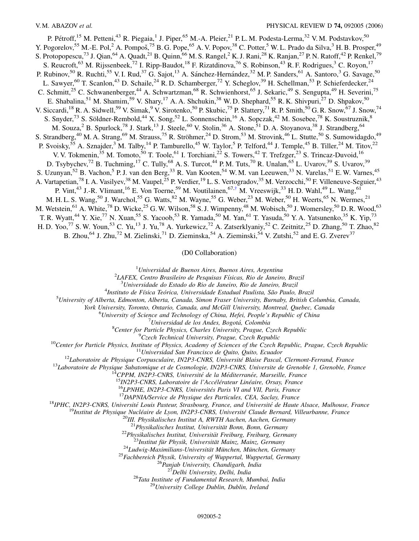P. Pétroff,<sup>15</sup> M. Petteni,<sup>43</sup> R. Piegaia,<sup>1</sup> J. Piper,<sup>65</sup> M.-A. Pleier,<sup>21</sup> P.L.M. Podesta-Lerma,<sup>32</sup> V.M. Podstavkov,<sup>50</sup> Y. Pogorelov,<sup>55</sup> M.-E. Pol,<sup>2</sup> A. Pompoš,<sup>75</sup> B.G. Pope,<sup>65</sup> A.V. Popov,<sup>38</sup> C. Potter,<sup>5</sup> W.L. Prado da Silva,<sup>3</sup> H.B. Prosper,<sup>49</sup> S. Protopopescu,<sup>73</sup> J. Qian,<sup>64</sup> A. Quadt,<sup>21</sup> B. Quinn,<sup>66</sup> M. S. Rangel,<sup>2</sup> K. J. Rani,<sup>28</sup> K. Ranjan,<sup>27</sup> P. N. Ratoff,<sup>42</sup> P. Renkel,<sup>79</sup> S. Reucroft,<sup>63</sup> M. Rijssenbeek,<sup>72</sup> I. Ripp-Baudot,<sup>18</sup> F. Rizatdinova,<sup>76</sup> S. Robinson,<sup>43</sup> R. F. Rodrigues,<sup>3</sup> C. Royon,<sup>17</sup> P. Rubinov,<sup>50</sup> R. Ruchti,<sup>55</sup> V. I. Rud,<sup>37</sup> G. Sajot,<sup>13</sup> A. Sánchez-Hernández,<sup>32</sup> M. P. Sanders,<sup>61</sup> A. Santoro,<sup>3</sup> G. Savage,<sup>50</sup> L. Sawyer,<sup>60</sup> T. Scanlon,<sup>43</sup> D. Schaile,<sup>24</sup> R. D. Schamberger,<sup>72</sup> Y. Scheglov,<sup>39</sup> H. Schellman,<sup>53</sup> P. Schieferdecker,<sup>24</sup> C. Schmitt,<sup>25</sup> C. Schwanenberger,<sup>44</sup> A. Schwartzman,<sup>68</sup> R. Schwienhorst,<sup>65</sup> J. Sekaric,<sup>49</sup> S. Sengupta,<sup>49</sup> H. Severini,<sup>75</sup> E. Shabalina,<sup>51</sup> M. Shamim,<sup>59</sup> V. Shary,<sup>17</sup> A. A. Shchukin,<sup>38</sup> W. D. Shephard,<sup>55</sup> R. K. Shivpuri,<sup>27</sup> D. Shpakov,<sup>50</sup> V. Siccardi,<sup>18</sup> R. A. Sidwell,<sup>59</sup> V. Simak,<sup>9</sup> V. Sirotenko,<sup>50</sup> P. Skubic,<sup>75</sup> P. Slattery,<sup>71</sup> R. P. Smith,<sup>50</sup> G. R. Snow,<sup>67</sup> J. Snow,<sup>74</sup> S. Snyder,<sup>73</sup> S. Söldner-Rembold,<sup>44</sup> X. Song,<sup>52</sup> L. Sonnenschein,<sup>16</sup> A. Sopczak,<sup>42</sup> M. Sosebee,<sup>78</sup> K. Soustruznik,<sup>8</sup> M. Souza,<sup>2</sup> B. Spurlock,<sup>78</sup> J. Stark,<sup>13</sup> J. Steele,<sup>60</sup> V. Stolin,<sup>36</sup> A. Stone,<sup>51</sup> D. A. Stoyanova,<sup>38</sup> J. Strandberg,<sup>64</sup> S. Strandberg,<sup>40</sup> M. A. Strang,<sup>69</sup> M. Strauss,<sup>75</sup> R. Ströhmer,<sup>24</sup> D. Strom,<sup>53</sup> M. Strovink,<sup>46</sup> L. Stutte,<sup>50</sup> S. Sumowidagdo,<sup>49</sup> P. Svoisky,<sup>55</sup> A. Sznajder,<sup>3</sup> M. Talby,<sup>14</sup> P. Tamburello,<sup>45</sup> W. Taylor,<sup>5</sup> P. Telford,<sup>44</sup> J. Temple,<sup>45</sup> B. Tiller,<sup>24</sup> M. Titov,<sup>22</sup> V. V. Tokmenin,<sup>35</sup> M. Tomoto,<sup>50</sup> T. Toole,<sup>61</sup> I. Torchiani,<sup>22</sup> S. Towers,<sup>42</sup> T. Trefzger,<sup>23</sup> S. Trincaz-Duvoid,<sup>16</sup> D. Tsybychev,<sup>72</sup> B. Tuchming,<sup>17</sup> C. Tully,<sup>68</sup> A. S. Turcot,<sup>44</sup> P. M. Tuts,<sup>70</sup> R. Unalan,<sup>65</sup> L. Uvarov,<sup>39</sup> S. Uvarov,<sup>39</sup> S. Uzunyan,<sup>52</sup> B. Vachon,<sup>5</sup> P. J. van den Berg,<sup>33</sup> R. Van Kooten,<sup>54</sup> W. M. van Leeuwen,<sup>33</sup> N. Varelas,<sup>51</sup> E. W. Varnes,<sup>45</sup> A. Vartapetian,<sup>78</sup> I. A. Vasilyev,<sup>38</sup> M. Vaupel,<sup>25</sup> P. Verdier,<sup>19</sup> L. S. Vertogradov,<sup>35</sup> M. Verzocchi,<sup>50</sup> F. Villeneuve-Seguier,<sup>43</sup> P. Vint,<sup>43</sup> J.-R. Vlimant,<sup>16</sup> E. Von Toerne,<sup>59</sup> M. Voutilainen,<sup>67,[†](#page-2-1)</sup> M. Vreeswijk,<sup>33</sup> H. D. Wahl,<sup>49</sup> L. Wang,<sup>61</sup> M. H. L. S. Wang,<sup>50</sup> J. Warchol,<sup>55</sup> G. Watts,<sup>82</sup> M. Wayne,<sup>55</sup> G. Weber,<sup>23</sup> M. Weber,<sup>50</sup> H. Weerts,<sup>65</sup> N. Wermes,<sup>21</sup> M. Wetstein,<sup>61</sup> A. White,<sup>78</sup> D. Wicke,<sup>25</sup> G. W. Wilson,<sup>58</sup> S. J. Wimpenny,<sup>48</sup> M. Wobisch,<sup>50</sup> J. Womersley,<sup>50</sup> D. R. Wood,<sup>63</sup> T. R. Wyatt,<sup>44</sup> Y. Xie,<sup>77</sup> N. Xuan,<sup>55</sup> S. Yacoob,<sup>53</sup> R. Yamada,<sup>50</sup> M. Yan,<sup>61</sup> T. Yasuda,<sup>50</sup> Y. A. Yatsunenko,<sup>35</sup> K. Yip,<sup>73</sup> H. D. Yoo,<sup>77</sup> S. W. Youn,<sup>53</sup> C. Yu,<sup>13</sup> J. Yu,<sup>78</sup> A. Yurkewicz,<sup>72</sup> A. Zatserklyaniy,<sup>52</sup> C. Zeitnitz,<sup>25</sup> D. Zhang,<sup>50</sup> T. Zhao,<sup>82</sup>

<span id="page-1-0"></span>B. Zhou,<sup>64</sup> J. Zhu,<sup>72</sup> M. Zielinski,<sup>71</sup> D. Zieminska,<sup>54</sup> A. Zieminski,<sup>54</sup> V. Zutshi,<sup>52</sup> and E. G. Zverev<sup>37</sup>

(D0 Collaboration)

1 *Universidad de Buenos Aires, Buenos Aires, Argentina* <sup>2</sup>

*LAFEX, Centro Brasileiro de Pesquisas Fı´sicas, Rio de Janeiro, Brazil* <sup>3</sup>

*Universidade do Estado do Rio de Janeiro, Rio de Janeiro, Brazil* <sup>4</sup>

<sup>4</sup>Instituto de Física Teórica, Universidade Estadual Paulista, São Paulo, Brazil

*University of Alberta, Edmonton, Alberta, Canada, Simon Fraser University, Burnaby, British Columbia, Canada,*

*York University, Toronto, Ontario, Canada, and McGill University, Montreal, Quebec, Canada* <sup>6</sup>

*University of Science and Technology of China, Hefei, People's Republic of China* <sup>7</sup>

*Universidad de los Andes, Bogota´, Colombia* <sup>8</sup>

<sup>8</sup> Center for Particle Physics, Charles University, Prague, Czech Republic <sup>9</sup> Czech Technical University, Prague, Czech Republic

<sup>10</sup>Center for Particle Physics, Institute of Physics, Academy of Sciences of the Czech Republic, Prague, Czech Republic<br><sup>10</sup>Center for Particle Physics, 111 Universidad San Francisco de Quito, Quito, Ecuador<br><sup>11</sup>Laborato

<sup>20</sup>III. Physikalisches Institut A, RWTH Aachen, Aachen, Germany<br><sup>21</sup> Physikalisches Institut, Universität Bonn, Bonn, Germany<br><sup>22</sup> Physikalisches Institut, Universität Freiburg, Freiburg, Germany<br><sup>23</sup> Institut für Physik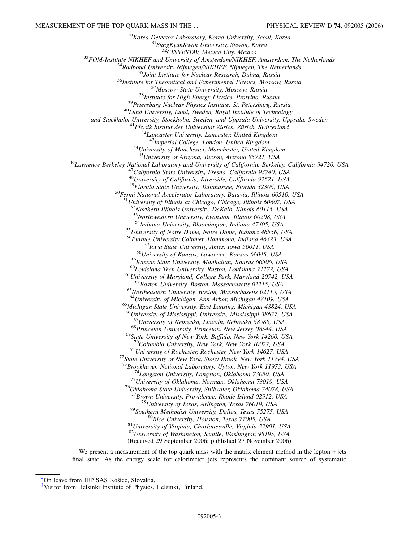$\begin{array}{c} \text{^{30}Korea\textit{ \textbf{D}}etector \textit{ Laboratory},\textit{Korea\textit{ University},\textit{Seoul},\textit{Korea}} \\ \text{^{31}SungKyunKwan\textit{University},\textit{Suwon},\textit{Korea}} \\ \text{^{32}CINVESTAY},\textit{Mexico City},\textit{Mexico} \\ \text{^{33}FOM-Institute NIKHEF and University of Amsterdam/NIKHEF, Amsterdam, The Netherlands} \\ \text{^{34}Radbound\textit{University Nijmegen/NIKHEF},\textit{Nijmegen},\textit{The Netherlands}} \\ \text{^{35}Joint\textit{Institute for Nuclear Research},\textit{$ *and Stockholm University, Stockholm, Sweden, and Uppsala University, Uppsala, Sweden* <sup>41</sup>*Physik Institut der Universita¨t Zu¨rich, Zu¨rich, Switzerland* <sup>42</sup>*Lancaster University, Lancaster, United Kingdom* <sup>43</sup>*Imperial College, London, United Kingdom* <sup>44</sup>*University of Manchester, Manchester, United Kingdom* <sup>46</sup> Lawrence Berkeley National Laboratory and University of California, Berkeley, California 94720, USA<br><sup>47</sup> California State University, Fresno, California 93740, USA <sup>48</sup>*University of California, Riverside, California 92521, USA* <sup>49</sup>*Florida State University, Tallahassee, Florida 32306, USA* <sup>50</sup>*Fermi National Accelerator Laboratory, Batavia, Illinois 60510, USA* <sup>51</sup>*University of Illinois at Chicago, Chicago, Illinois 60607, USA* <sup>52</sup>*Northern Illinois University, DeKalb, Illinois 60115, USA* <sup>53</sup>*Northwestern University, Evanston, Illinois 60208, USA* <sup>55</sup>*University of Notre Dame, Notre Dame, Indiana 46556, USA* <sup>56</sup>*Purdue University Calumet, Hammond, Indiana 46323, USA* <sup>57</sup>Iowa State University, Ames, Iowa 50011, USA<br><sup>58</sup>University of Kansas, Lawrence, Kansas 66045, USA<br><sup>59</sup>Kansas State University, Manhattan, Kansas 66506, USA<br><sup>60</sup>Louisiana Tech University, Ruston, Louisiana 71272, USA<br> <sup>64</sup>*University of Michigan, Ann Arbor, Michigan 48109, USA* <sup>65</sup>*Michigan State University, East Lansing, Michigan 48824, USA* <sup>66</sup>*University of Mississippi, University, Mississippi 38677, USA* <sup>67</sup>University of Nebraska, Lincoln, Nebraska 68588, USA<br><sup>68</sup>Princeton University, Princeton, New Jersey 08544, USA<br><sup>69</sup>State University of New York, Buffalo, New York 14260, USA <sup>70</sup>*Columbia University, New York, New York 10027, USA* <sup>71</sup>*University of Rochester, Rochester, New York 14627, USA* <sup>72</sup>*State University of New York, Stony Brook, New York 11794, USA*  $^{73}$ Brookhaven National Laboratory, Upton, New York 11973, USA<br> $^{74}$ Langston University, Langston, Oklahoma 73050, USA<br> $^{75}$ University of Oklahoma, Norman, Oklahoma 73019, USA<br> $^{76}$ Oklahoma State University, Stillwat <sup>77</sup>Brown University, Providence, Rhode Island 02912, USA<br><sup>78</sup>University of Texas, Arlington, Texas 76019, USA<br><sup>79</sup>Southern Methodist University, Dallas, Texas 75275, USA<br><sup>80</sup>Rice University, Houston, Texas 77005, USA<br><sup>81</sup> <sup>82</sup>*University of Washington, Seattle, Washington 98195, USA* (Received 29 September 2006; published 27 November 2006)

We present a measurement of the top quark mass with the matrix element method in the lepton  $+$  jets final state. As the energy scale for calorimeter jets represents the dominant source of systematic

<span id="page-2-0"></span>[\\*O](#page-0-0)n leave from IEP SAS Košice, Slovakia.

<span id="page-2-1"></span>[<sup>†</sup>](#page-1-0) Visitor from Helsinki Institute of Physics, Helsinki, Finland.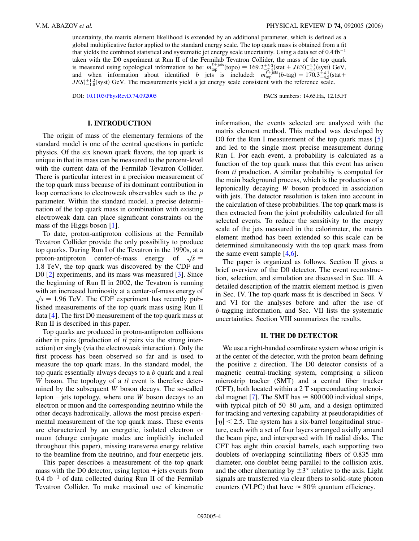uncertainty, the matrix element likelihood is extended by an additional parameter, which is defined as a global multiplicative factor applied to the standard energy scale. The top quark mass is obtained from a fit that yields the combined statistical and systematic jet energy scale uncertainty. Using a data set of 0.4 fb<sup>-1</sup> taken with the D0 experiment at Run II of the Fermilab Tevatron Collider, the mass of the top quark is measured using topological information to be:  $m_{top}^{\ell + \text{jets}}(\text{topo}) = 169.2^{+5.0}_{-77.4}_{-77.4}(\text{stat} + JES)^{+1.5}_{-1.4}(\text{syst})$  GeV, and when information about identified *b* jets is included:  $m_{top}^{\ell' + \text{jets}}(b-\text{tag}) = 170.3^{+4.1}_{-4.5}(\text{stat} +$  $JES$ <sup>+1.2</sup><sub>1.8</sub>(syst) GeV. The measurements yield a jet energy scale consistent with the reference scale.

DOI: [10.1103/PhysRevD.74.092005](http://dx.doi.org/10.1103/PhysRevD.74.092005) PACS numbers: 14.65.Ha, 12.15.Ff

# **I. INTRODUCTION**

The origin of mass of the elementary fermions of the standard model is one of the central questions in particle physics. Of the six known quark flavors, the top quark is unique in that its mass can be measured to the percent-level with the current data of the Fermilab Tevatron Collider. There is particular interest in a precision measurement of the top quark mass because of its dominant contribution in loop corrections to electroweak observables such as the  $\rho$ parameter. Within the standard model, a precise determination of the top quark mass in combination with existing electroweak data can place significant constraints on the mass of the Higgs boson [[1](#page-25-0)].

To date, proton-antiproton collisions at the Fermilab Tevatron Collider provide the only possibility to produce top quarks. During Run I of the Tevatron in the 1990s, at a top quarks. During Run I of the Tevatron in the 1990s, at a<br>proton-antiproton center-of-mass energy of  $\sqrt{s} =$ 1*:*8 TeV, the top quark was discovered by the CDF and D0 [\[2](#page-25-1)] experiments, and its mass was measured [[3\]](#page-25-2). Since the beginning of Run II in 2002, the Tevatron is running with an increased luminosity at a center-of-mass energy of  $\sqrt{s}$  = 1.96 TeV. The CDF experiment has recently published measurements of the top quark mass using Run II data [\[4](#page-25-3)]. The first D0 measurement of the top quark mass at Run II is described in this paper.

Top quarks are produced in proton-antiproton collisions either in pairs (production of  $t\bar{t}$  pairs via the strong interaction) or singly (via the electroweak interaction). Only the first process has been observed so far and is used to measure the top quark mass. In the standard model, the top quark essentially always decays to a *b* quark and a real *W* boson. The topology of a  $t\bar{t}$  event is therefore determined by the subsequent *W* boson decays. The so-called lepton  $+$  jets topology, where one *W* boson decays to an electron or muon and the corresponding neutrino while the other decays hadronically, allows the most precise experimental measurement of the top quark mass. These events are characterized by an energetic, isolated electron or muon (charge conjugate modes are implicitly included throughout this paper), missing transverse energy relative to the beamline from the neutrino, and four energetic jets.

This paper describes a measurement of the top quark mass with the D0 detector, using lepton  $+$  jets events from  $0.4 \text{ fb}^{-1}$  of data collected during Run II of the Fermilab Tevatron Collider. To make maximal use of kinematic information, the events selected are analyzed with the matrix element method. This method was developed by D0 for the Run I measurement of the top quark mass [\[5\]](#page-25-4) and led to the single most precise measurement during Run I. For each event, a probability is calculated as a function of the top quark mass that this event has arisen from  $t\bar{t}$  production. A similar probability is computed for the main background process, which is the production of a leptonically decaying *W* boson produced in association with jets. The detector resolution is taken into account in the calculation of these probabilities. The top quark mass is then extracted from the joint probability calculated for all selected events. To reduce the sensitivity to the energy scale of the jets measured in the calorimeter, the matrix element method has been extended so this scale can be determined simultaneously with the top quark mass from the same event sample  $[4,6]$  $[4,6]$  $[4,6]$  $[4,6]$ .

The paper is organized as follows. Section II gives a brief overview of the D0 detector. The event reconstruction, selection, and simulation are discussed in Sec. III. A detailed description of the matrix element method is given in Sec. IV. The top quark mass fit is described in Secs. V and VI for the analyses before and after the use of *b*-tagging information, and Sec. VII lists the systematic uncertainties. Section VIII summarizes the results.

# **II. THE D0 DETECTOR**

We use a right-handed coordinate system whose origin is at the center of the detector, with the proton beam defining the positive *z* direction. The D0 detector consists of a magnetic central-tracking system, comprising a silicon microstrip tracker (SMT) and a central fiber tracker (CFT), both located within a 2 T superconducting solenoi-dal magnet [[7](#page-25-6)]. The SMT has  $\approx 800\,000$  individual strips, with typical pitch of 50–80  $\mu$ m, and a design optimized for tracking and vertexing capability at pseudorapidities of  $|\eta|$  < 2.5. The system has a six-barrel longitudinal structure, each with a set of four layers arranged axially around the beam pipe, and interspersed with 16 radial disks. The CFT has eight thin coaxial barrels, each supporting two doublets of overlapping scintillating fibers of 0.835 mm diameter, one doublet being parallel to the collision axis, and the other alternating by  $\pm 3^{\circ}$  relative to the axis. Light signals are transferred via clear fibers to solid-state photon counters (VLPC) that have  $\approx 80\%$  quantum efficiency.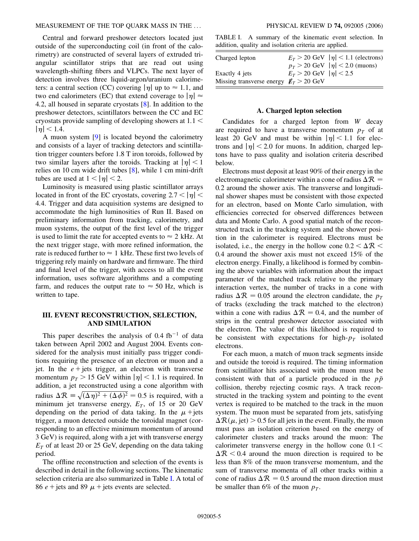Central and forward preshower detectors located just outside of the superconducting coil (in front of the calorimetry) are constructed of several layers of extruded triangular scintillator strips that are read out using wavelength-shifting fibers and VLPCs. The next layer of detection involves three liquid-argon/uranium calorimeters: a central section (CC) covering  $|\eta|$  up to  $\approx 1.1$ , and two end calorimeters (EC) that extend coverage to  $|\eta| \approx$ 4*:*2, all housed in separate cryostats [\[8\]](#page-25-7). In addition to the preshower detectors, scintillators between the CC and EC cryostats provide sampling of developing showers at 1*:*1 *<*  $|\eta|$  < 1.4.

A muon system [[9\]](#page-25-8) is located beyond the calorimetry and consists of a layer of tracking detectors and scintillation trigger counters before 1.8 T iron toroids, followed by two similar layers after the toroids. Tracking at  $|\eta|$  < 1 relies on 10 cm wide drift tubes [\[8](#page-25-7)], while 1 cm mini-drift tubes are used at  $1 < |\eta| < 2$ .

Luminosity is measured using plastic scintillator arrays located in front of the EC cryostats, covering  $2.7 < |\eta|$ 4*:*4. Trigger and data acquisition systems are designed to accommodate the high luminosities of Run II. Based on preliminary information from tracking, calorimetry, and muon systems, the output of the first level of the trigger is used to limit the rate for accepted events to  $\approx$  2 kHz. At the next trigger stage, with more refined information, the rate is reduced further to  $\approx 1$  kHz. These first two levels of triggering rely mainly on hardware and firmware. The third and final level of the trigger, with access to all the event information, uses software algorithms and a computing farm, and reduces the output rate to  $\approx$  50 Hz, which is written to tape.

# **III. EVENT RECONSTRUCTION, SELECTION, AND SIMULATION**

This paper describes the analysis of  $0.4 \text{ fb}^{-1}$  of data taken between April 2002 and August 2004. Events considered for the analysis must initially pass trigger conditions requiring the presence of an electron or muon and a jet. In the  $e$  + jets trigger, an electron with transverse momentum  $p_T > 15$  GeV within  $|\eta| < 1.1$  is required. In addition, a jet reconstructed using a cone algorithm with radius  $\Delta \mathcal{R} = \sqrt{(\Delta \eta)^2 + (\Delta \phi)^2} = 0.5$  is required, with a minimum jet transverse energy,  $E_T$ , of 15 or 20 GeV depending on the period of data taking. In the  $\mu$ +jets trigger, a muon detected outside the toroidal magnet (corresponding to an effective minimum momentum of around 3 GeV) is required, along with a jet with transverse energy  $E_T$  of at least 20 or 25 GeV, depending on the data taking period.

The offline reconstruction and selection of the events is described in detail in the following sections. The kinematic selection criteria are also summarized in Table I. A total of 86  $e$  + jets and 89  $\mu$  + jets events are selected.

TABLE I. A summary of the kinematic event selection. In addition, quality and isolation criteria are applied.

| Charged lepton                           |                               | $E_T > 20$ GeV $ \eta $ < 1.1 (electrons) |
|------------------------------------------|-------------------------------|-------------------------------------------|
|                                          |                               | $p_T > 20$ GeV $ \eta  < 2.0$ (muons)     |
| Exactly 4 jets                           | $E_T > 20$ GeV $ \eta $ < 2.5 |                                           |
| Missing transverse energy $E_T > 20$ GeV |                               |                                           |

### **A. Charged lepton selection**

Candidates for a charged lepton from *W* decay are required to have a transverse momentum  $p<sub>T</sub>$  of at least 20 GeV and must be within  $|\eta|$  < 1.1 for electrons and  $|\eta|$  < 2.0 for muons. In addition, charged leptons have to pass quality and isolation criteria described below.

Electrons must deposit at least 90% of their energy in the electromagnetic calorimeter within a cone of radius  $\Delta \mathcal{R} =$ 0*:*2 around the shower axis. The transverse and longitudinal shower shapes must be consistent with those expected for an electron, based on Monte Carlo simulation, with efficiencies corrected for observed differences between data and Monte Carlo. A good spatial match of the reconstructed track in the tracking system and the shower position in the calorimeter is required. Electrons must be isolated, i.e., the energy in the hollow cone  $0.2 < \Delta \mathcal{R} <$ 0*:*4 around the shower axis must not exceed 15% of the electron energy. Finally, a likelihood is formed by combining the above variables with information about the impact parameter of the matched track relative to the primary interaction vertex, the number of tracks in a cone with radius  $\Delta \mathcal{R} = 0.05$  around the electron candidate, the  $p_T$ of tracks (excluding the track matched to the electron) within a cone with radius  $\Delta \mathcal{R} = 0.4$ , and the number of strips in the central preshower detector associated with the electron. The value of this likelihood is required to be consistent with expectations for high- $p_T$  isolated electrons.

For each muon, a match of muon track segments inside and outside the toroid is required. The timing information from scintillator hits associated with the muon must be consistent with that of a particle produced in the *pp* collision, thereby rejecting cosmic rays. A track reconstructed in the tracking system and pointing to the event vertex is required to be matched to the track in the muon system. The muon must be separated from jets, satisfying  $\Delta \mathcal{R}(\mu, \text{jet}) > 0.5$  for all jets in the event. Finally, the muon must pass an isolation criterion based on the energy of calorimeter clusters and tracks around the muon: The calorimeter transverse energy in the hollow cone 0*:*1 *<*  $\Delta R$  < 0.4 around the muon direction is required to be less than 8% of the muon transverse momentum, and the sum of transverse momenta of all other tracks within a cone of radius  $\Delta \mathcal{R} = 0.5$  around the muon direction must be smaller than 6% of the muon  $p_T$ .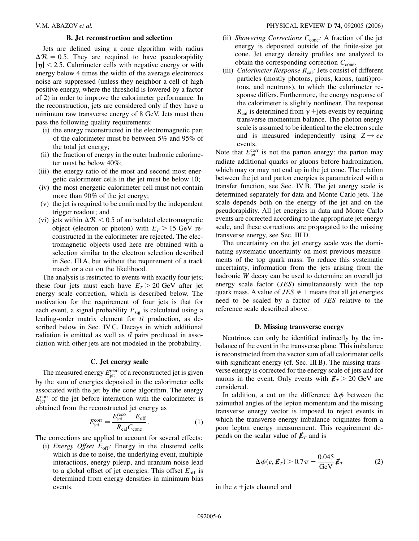# **B. Jet reconstruction and selection**

Jets are defined using a cone algorithm with radius  $\Delta R = 0.5$ . They are required to have pseudorapidity  $|\eta|$  < 2.5. Calorimeter cells with negative energy or with energy below 4 times the width of the average electronics noise are suppressed (unless they neighbor a cell of high positive energy, where the threshold is lowered by a factor of 2) in order to improve the calorimeter performance. In the reconstruction, jets are considered only if they have a minimum raw transverse energy of 8 GeV. Jets must then pass the following quality requirements:

- (i) the energy reconstructed in the electromagnetic part of the calorimeter must be between 5% and 95% of the total jet energy;
- (ii) the fraction of energy in the outer hadronic calorimeter must be below 40%;
- (iii) the energy ratio of the most and second most energetic calorimeter cells in the jet must be below 10;
- (iv) the most energetic calorimeter cell must not contain more than 90% of the jet energy;
- (v) the jet is required to be confirmed by the independent trigger readout; and
- (vi) jets within  $\Delta R < 0.5$  of an isolated electromagnetic object (electron or photon) with  $E_T > 15$  GeV reconstructed in the calorimeter are rejected. The electromagnetic objects used here are obtained with a selection similar to the electron selection described in Sec. III A, but without the requirement of a track match or a cut on the likelihood.

The analysis is restricted to events with exactly four jets; these four jets must each have  $E_T > 20$  GeV after jet energy scale correction, which is described below. The motivation for the requirement of four jets is that for each event, a signal probability  $P_{sig}$  is calculated using a leading-order matrix element for  $t\bar{t}$  production, as described below in Sec. IV C. Decays in which additional radiation is emitted as well as  $t\bar{t}$  pairs produced in association with other jets are not modeled in the probability.

#### **C. Jet energy scale**

The measured energy  $E_{\text{jet}}^{\text{reco}}$  of a reconstructed jet is given by the sum of energies deposited in the calorimeter cells associated with the jet by the cone algorithm. The energy  $E_{jet}^{\text{corr}}$  of the jet before interaction with the calorimeter is obtained from the reconstructed jet energy as

$$
E_{\text{jet}}^{\text{corr}} = \frac{E_{\text{jet}}^{\text{reco}} - E_{\text{off}}}{R_{\text{cal}} C_{\text{cone}}}. \tag{1}
$$

The corrections are applied to account for several effects:

(i) *Energy Offset*  $E_{\text{off}}$ : Energy in the clustered cells which is due to noise, the underlying event, multiple interactions, energy pileup, and uranium noise lead to a global offset of jet energies. This offset  $E_{\text{off}}$  is determined from energy densities in minimum bias events.

- (ii) *Showering Corrections*  $C_{cone}$ : A fraction of the jet energy is deposited outside of the finite-size jet cone. Jet energy density profiles are analyzed to obtain the corresponding correction  $C_{cone}$ .
- (iii) *Calorimeter Response*  $R_{cal}$ : Jets consist of different particles (mostly photons, pions, kaons, (anti)protons, and neutrons), to which the calorimeter response differs. Furthermore, the energy response of the calorimeter is slightly nonlinear. The response  $R_{\text{cal}}$  is determined from  $\gamma$  + jets events by requiring transverse momentum balance. The photon energy scale is assumed to be identical to the electron scale and is measured independently using  $Z \rightarrow ee$ events.

Note that  $E_{jet}^{\text{corr}}$  is not the parton energy: the parton may radiate additional quarks or gluons before hadronization, which may or may not end up in the jet cone. The relation between the jet and parton energies is parametrized with a transfer function, see Sec. IV B. The jet energy scale is determined separately for data and Monte Carlo jets. The scale depends both on the energy of the jet and on the pseudorapidity. All jet energies in data and Monte Carlo events are corrected according to the appropriate jet energy scale, and these corrections are propagated to the missing transverse energy, see Sec. III D.

The uncertainty on the jet energy scale was the dominating systematic uncertainty on most previous measurements of the top quark mass. To reduce this systematic uncertainty, information from the jets arising from the hadronic *W* decay can be used to determine an overall jet energy scale factor (*JES*) simultaneously with the top quark mass. A value of  $JES \neq 1$  means that all jet energies need to be scaled by a factor of *JES* relative to the reference scale described above.

## **D. Missing transverse energy**

Neutrinos can only be identified indirectly by the imbalance of the event in the transverse plane. This imbalance is reconstructed from the vector sum of all calorimeter cells with significant energy (cf. Sec. III B). The missing transverse energy is corrected for the energy scale of jets and for muons in the event. Only events with  $E_T > 20$  GeV are considered.

In addition, a cut on the difference  $\Delta \phi$  between the azimuthal angles of the lepton momentum and the missing transverse energy vector is imposed to reject events in which the transverse energy imbalance originates from a poor lepton energy measurement. This requirement depends on the scalar value of  $\not\hspace{-.15cm}/\,^T_T$  and is

$$
\Delta \phi(e, \not\!E_T) > 0.7\pi - \frac{0.045}{\text{GeV}} \not\!E_T \tag{2}
$$

in the  $e$  + jets channel and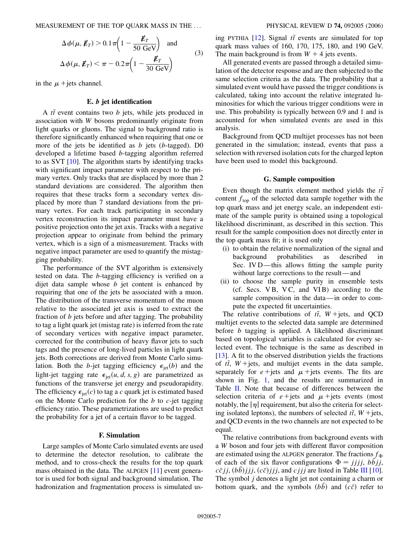MEASUREMENT OF THE TOP QUARK MASS IN THE ... PHYSICAL REVIEW D **74,** 092005 (2006)

$$
\Delta \phi(\mu, \not{E}_T) > 0.1 \pi \left( 1 - \frac{\not{E}_T}{50 \text{ GeV}} \right) \text{ and}
$$
  

$$
\Delta \phi(\mu, \not{E}_T) < \pi - 0.2 \pi \left( 1 - \frac{\not{E}_T}{30 \text{ GeV}} \right)
$$
 (3)

in the  $\mu$  +jets channel.

# **E.** *b* **jet identification**

A *tt* event contains two *b* jets, while jets produced in association with *W* bosons predominantly originate from light quarks or gluons. The signal to background ratio is therefore significantly enhanced when requiring that one or more of the jets be identified as *b* jets (*b*-tagged). D0 developed a lifetime based *b*-tagging algorithm referred to as SVT [\[10\]](#page-25-9). The algorithm starts by identifying tracks with significant impact parameter with respect to the primary vertex. Only tracks that are displaced by more than 2 standard deviations are considered. The algorithm then requires that these tracks form a secondary vertex displaced by more than 7 standard deviations from the primary vertex. For each track participating in secondary vertex reconstruction its impact parameter must have a positive projection onto the jet axis. Tracks with a negative projection appear to originate from behind the primary vertex, which is a sign of a mismeasurement. Tracks with negative impact parameter are used to quantify the mistagging probability.

The performance of the SVT algorithm is extensively tested on data. The *b*-tagging efficiency is verified on a dijet data sample whose *b* jet content is enhanced by requiring that one of the jets be associated with a muon. The distribution of the transverse momentum of the muon relative to the associated jet axis is used to extract the fraction of *b* jets before and after tagging. The probability to tag a light quark jet (mistag rate) is inferred from the rate of secondary vertices with negative impact parameter, corrected for the contribution of heavy flavor jets to such tags and the presence of long-lived particles in light quark jets. Both corrections are derived from Monte Carlo simulation. Both the *b*-jet tagging efficiency  $\epsilon_{\text{jet}}(b)$  and the light-jet tagging rate  $\epsilon_{jet}(u, d, s, g)$  are parametrized as functions of the transverse jet energy and pseudorapidity. The efficiency  $\epsilon_{\text{jet}}(c)$  to tag a *c* quark jet is estimated based on the Monte Carlo prediction for the *b* to *c*-jet tagging efficiency ratio. These parametrizations are used to predict the probability for a jet of a certain flavor to be tagged.

## **F. Simulation**

Large samples of Monte Carlo simulated events are used to determine the detector resolution, to calibrate the method, and to cross-check the results for the top quark mass obtained in the data. The ALPGEN [\[11\]](#page-25-10) event generator is used for both signal and background simulation. The hadronization and fragmentation process is simulated us-

ing PYTHIA  $[12]$  $[12]$  $[12]$ . Signal  $t\bar{t}$  events are simulated for top quark mass values of 160, 170, 175, 180, and 190 GeV. The main background is from  $W + 4$  jets events.

All generated events are passed through a detailed simulation of the detector response and are then subjected to the same selection criteria as the data. The probability that a simulated event would have passed the trigger conditions is calculated, taking into account the relative integrated luminosities for which the various trigger conditions were in use. This probability is typically between 0.9 and 1 and is accounted for when simulated events are used in this analysis.

Background from QCD multijet processes has not been generated in the simulation; instead, events that pass a selection with reversed isolation cuts for the charged lepton have been used to model this background.

## **G. Sample composition**

Even though the matrix element method yields the  $t\bar{t}$ content  $f_{\text{top}}$  of the selected data sample together with the top quark mass and jet energy scale, an independent estimate of the sample purity is obtained using a topological likelihood discriminant, as described in this section. This result for the sample composition does not directly enter in the top quark mass fit; it is used only

- (i) to obtain the relative normalization of the signal and background probabilities as described in Sec. IV D—this allows fitting the sample purity without large corrections to the result—and
- (ii) to choose the sample purity in ensemble tests (cf. Secs. V B, V C, and VI B) according to the sample composition in the data—in order to compute the expected fit uncertainties.

The relative contributions of  $t\bar{t}$ ,  $W + \text{jets}$ , and QCD multijet events to the selected data sample are determined before *b* tagging is applied. A likelihood discriminant based on topological variables is calculated for every selected event. The technique is the same as described in [\[13\]](#page-25-12). A fit to the observed distribution yields the fractions of  $t\bar{t}$ ,  $W$  + jets, and multijet events in the data sample, separately for  $e + \text{jets}$  and  $\mu + \text{jets}$  events. The fits are shown in Fig. [1](#page-7-0), and the results are summarized in Table II. Note that because of differences between the selection criteria of  $e$  + jets and  $\mu$  + jets events (most notably, the  $|\eta|$  requirement, but also the criteria for selecting isolated leptons), the numbers of selected  $t\bar{t}$ ,  $W$  + jets, and QCD events in the two channels are not expected to be equal.

The relative contributions from background events with a *W* boson and four jets with different flavor composition are estimated using the ALPGEN generator. The fractions  $f_{\Phi}$ of each of the six flavor configurations  $\Phi = jjjj$ ,  $b\bar{b}jj$ ,  $c\bar{c}j\bar{j}$ ,  $(bb)j\bar{j}j$ ,  $(c\bar{c})j\bar{j}j$ , and  $c\bar{j}j\bar{j}$  are listed in Table III [[10\]](#page-25-9). The symbol *j* denotes a light jet not containing a charm or bottom quark, and the symbols  $(bb)$  and  $(c\bar{c})$  refer to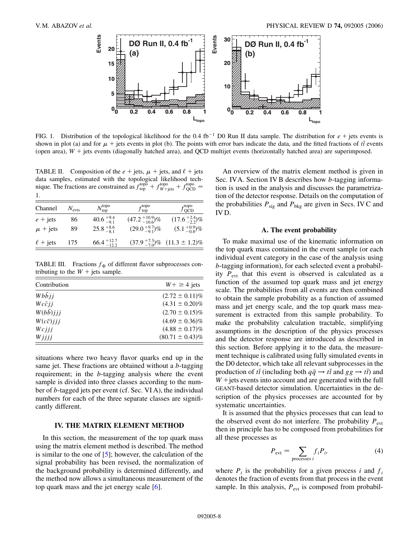<span id="page-7-1"></span><span id="page-7-0"></span>

FIG. 1. Distribution of the topological likelihood for the  $0.4 \text{ fb}^{-1}$  D0 Run II data sample. The distribution for  $e +$  jets events is shown in plot (a) and for  $\mu$  + jets events in plot (b). The points with error bars indicate the data, and the fitted fractions of  $t\bar{t}$  events (open area),  $W$  + jets events (diagonally hatched area), and OCD multijet events (horizontally hatched area) are superimposed.

TABLE II. Composition of the  $e + \text{jets}$ ,  $\mu + \text{jets}$ , and  $\ell + \text{jets}$ data samples, estimated with the topological likelihood technique. The fractions are constrained as  $f_{top}^{top} + f_{WF + jets}^{top} + f_{QCD}^{top} =$ 1.

| Channel           | $N_{\text{evts}}$ | $N_{\rm top}^{\rm topo}$ | $f_{\rm top}^{\rm topo}$ | $f_{\rm QCD}^{\rm topo}$                    |
|-------------------|-------------------|--------------------------|--------------------------|---------------------------------------------|
| $e + \text{jets}$ | 86                | $40.6^{+9.4}_{-9.1}$     | $(47.2+10.9-10.6)\%$     | $(17.6^{+2.4}_{-2.2})\%$                    |
| $\mu$ + jets      | 89                | $25.8^{+8.6}_{-8.1}$     | $(29.0+9.7-9.1)\%$       | $(5.1^{+0.9}_{-0.8})\%$                     |
| $\ell$ + jets     | 175               | $66.4_{-12.2}^{+12.7}$   |                          | $(37.9^{+7.3}_{-7.0})\%$ $(11.3 \pm 1.2)\%$ |

TABLE III. Fractions  $f_{\Phi}$  of different flavor subprocesses contributing to the  $W$  + jets sample.

| Contribution              | $W + \geq 4$ jets    |
|---------------------------|----------------------|
| $Wb\overline{b}$ <i>i</i> | $(2.72 \pm 0.11)\%$  |
| $Wc\bar{c}$ ii            | $(4.31 \pm 0.20)\%$  |
| $W(b\bar{b})$ <i>iji</i>  | $(2.70 \pm 0.15)\%$  |
| $W(c\bar{c})$ iii         | $(4.69 \pm 0.36)\%$  |
| Wcjii                     | $(4.88 \pm 0.17)\%$  |
| Wjjjj                     | $(80.71 \pm 0.43)\%$ |

situations where two heavy flavor quarks end up in the same jet. These fractions are obtained without a *b*-tagging requirement; in the *b*-tagging analysis where the event sample is divided into three classes according to the number of *b*-tagged jets per event (cf. Sec. VI A), the individual numbers for each of the three separate classes are significantly different.

# **IV. THE MATRIX ELEMENT METHOD**

In this section, the measurement of the top quark mass using the matrix element method is described. The method is similar to the one of  $[5]$  $[5]$ ; however, the calculation of the signal probability has been revised, the normalization of the background probability is determined differently, and the method now allows a simultaneous measurement of the top quark mass and the jet energy scale [[6](#page-25-5)].

An overview of the matrix element method is given in Sec. IVA. Section IV B describes how *b*-tagging information is used in the analysis and discusses the parametrization of the detector response. Details on the computation of the probabilities  $P_{sig}$  and  $P_{bkg}$  are given in Secs. IV C and IV D.

## **A. The event probability**

To make maximal use of the kinematic information on the top quark mass contained in the event sample (or each individual event category in the case of the analysis using *b*-tagging information), for each selected event a probability  $P_{\text{evt}}$  that this event is observed is calculated as a function of the assumed top quark mass and jet energy scale. The probabilities from all events are then combined to obtain the sample probability as a function of assumed mass and jet energy scale, and the top quark mass measurement is extracted from this sample probability. To make the probability calculation tractable, simplifying assumptions in the description of the physics processes and the detector response are introduced as described in this section. Before applying it to the data, the measurement technique is calibrated using fully simulated events in the D0 detector, which take all relevant subprocesses in the production of  $t\bar{t}$  (including both  $q\bar{q} \rightarrow t\bar{t}$  and  $gg \rightarrow t\bar{t}$ ) and  $W$  + jets events into account and are generated with the full GEANT-based detector simulation. Uncertainties in the description of the physics processes are accounted for by systematic uncertainties.

It is assumed that the physics processes that can lead to the observed event do not interfere. The probability  $P_{\text{ext}}$ then in principle has to be composed from probabilities for all these processes as

$$
P_{\text{evt}} = \sum_{\text{processes } i} f_i P_i,\tag{4}
$$

where  $P_i$  is the probability for a given process *i* and  $f_i$ denotes the fraction of events from that process in the event sample. In this analysis,  $P_{\text{evt}}$  is composed from probabil-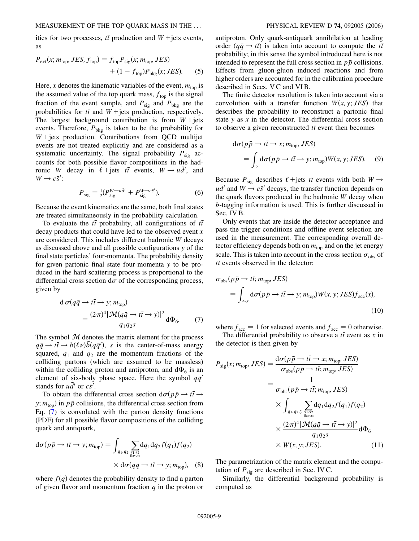ities for two processes,  $t\bar{t}$  production and  $W$  + jets events, as

$$
P_{\text{evt}}(x; m_{\text{top}}, JES, f_{\text{top}}) = f_{\text{top}} P_{\text{sig}}(x; m_{\text{top}}, JES)
$$

$$
+ (1 - f_{\text{top}}) P_{\text{bkg}}(x; JES). \tag{5}
$$

Here, *x* denotes the kinematic variables of the event,  $m_{top}$  is the assumed value of the top quark mass,  $f_{top}$  is the signal fraction of the event sample, and  $P_{\text{sig}}$  and  $P_{\text{bkg}}$  are the probabilities for  $t\bar{t}$  and  $W$  + jets production, respectively. The largest background contribution is from  $W +$ jets events. Therefore,  $P_{bkg}$  is taken to be the probability for  $W + \text{jets}$  production. Contributions from QCD multijet events are not treated explicitly and are considered as a systematic uncertainty. The signal probability  $P_{sig}$  accounts for both possible flavor compositions in the hadronic *W* decay in  $\ell$  + jets  $t\bar{t}$  events,  $W \rightarrow u\bar{d}'$ , and  $W \rightarrow c\bar{s}'$ :

$$
P_{\text{sig}} = \frac{1}{2} (P_{\text{sig}}^{W \to a\bar{d}'} + P_{\text{sig}}^{W \to c\bar{s}'}). \tag{6}
$$

Because the event kinematics are the same, both final states are treated simultaneously in the probability calculation.

To evaluate the  $t\bar{t}$  probability, all configurations of  $t\bar{t}$ decay products that could have led to the observed event *x* are considered. This includes different hadronic *W* decays as discussed above and all possible configurations *y* of the final state particles' four-momenta. The probability density for given partonic final state four-momenta *y* to be produced in the hard scattering process is proportional to the differential cross section  $d\sigma$  of the corresponding process, given by

<span id="page-8-0"></span>
$$
d \sigma (q\bar{q} \to t\bar{t} \to y; m_{\text{top}})
$$
  
= 
$$
\frac{(2\pi)^4 |\mathcal{M}(q\bar{q} \to t\bar{t} \to y)|^2}{q_1 q_2 s} d\Phi_6.
$$
 (7)

The symbol  $M$  denotes the matrix element for the process  $q\bar{q} \rightarrow t\bar{t} \rightarrow b(\ell \nu)\bar{b}(q\bar{q}^{\prime}),$  *s* is the center-of-mass energy squared,  $q_1$  and  $q_2$  are the momentum fractions of the colliding partons (which are assumed to be massless) within the colliding proton and antiproton, and  $d\Phi_6$  is an element of six-body phase space. Here the symbol  $q\bar{q}$ <sup>'</sup> stands for  $u\overline{d}$  or  $c\overline{s}$ <sup>*i*</sup>.

To obtain the differential cross section  $d\sigma(p\bar{p} \rightarrow t\bar{t} \rightarrow p\bar{t})$ *y*;  $m_{\text{top}}$ ) in  $p\bar{p}$  collisions, the differential cross section from Eq. [\(7\)](#page-8-0) is convoluted with the parton density functions (PDF) for all possible flavor compositions of the colliding quark and antiquark,

$$
d\sigma(p\bar{p} \to t\bar{t} \to y; m_{top}) = \int_{q_1, q_2} \sum_{\substack{q_1, q_2 \\ \text{flavor}}} dq_1 dq_2 f(q_1) f(q_2)
$$
  
 
$$
\times d\sigma(q\bar{q} \to t\bar{t} \to y; m_{top}), \quad (8)
$$

where  $f(q)$  denotes the probability density to find a parton of given flavor and momentum fraction *q* in the proton or antiproton. Only quark-antiquark annihilation at leading order  $(q\bar{q} \rightarrow t\bar{t})$  is taken into account to compute the  $t\bar{t}$ probability; in this sense the symbol introduced here is not intended to represent the full cross section in  $p\bar{p}$  collisions. Effects from gluon-gluon induced reactions and from higher orders are accounted for in the calibration procedure described in Secs. V C and VI B.

The finite detector resolution is taken into account via a convolution with a transfer function  $W(x, y; JES)$  that describes the probability to reconstruct a partonic final state *y* as *x* in the detector. The differential cross section to observe a given reconstructed  $t\bar{t}$  event then becomes

$$
d\sigma(p\bar{p} \to t\bar{t} \to x; m_{\text{top}}, JES)
$$
  
= 
$$
\int_{y} d\sigma(p\bar{p} \to t\bar{t} \to y; m_{\text{top}})W(x, y; JES).
$$
 (9)

Because  $P_{sig}$  describes  $\ell$  + jets  $t\bar{t}$  events with both  $W \rightarrow$  $u\bar{d}$  and  $W \rightarrow c\bar{s}$  decays, the transfer function depends on the quark flavors produced in the hadronic *W* decay when *b*-tagging information is used. This is further discussed in Sec. IV B.

Only events that are inside the detector acceptance and pass the trigger conditions and offline event selection are used in the measurement. The corresponding overall detector efficiency depends both on  $m_{\text{top}}$  and on the jet energy scale. This is taken into account in the cross section  $\sigma_{obs}$  of  $t\bar{t}$  events observed in the detector:

<span id="page-8-2"></span>
$$
\sigma_{obs}(p\bar{p} \to t\bar{t}; m_{\text{top}}, JES)
$$
  
= 
$$
\int_{x,y} d\sigma(p\bar{p} \to t\bar{t} \to y; m_{\text{top}})W(x, y; JES)f_{\text{acc}}(x),
$$
 (10)

where  $f_{\text{acc}} = 1$  for selected events and  $f_{\text{acc}} = 0$  otherwise.

<span id="page-8-1"></span>The differential probability to observe a  $t\bar{t}$  event as  $x$  in the detector is then given by

$$
P_{\text{sig}}(x; m_{\text{top}}, JES) = \frac{d\sigma(p\bar{p} \to t\bar{t} \to x; m_{\text{top}}, JES)}{\sigma_{\text{obs}}(p\bar{p} \to t\bar{t}; m_{\text{top}}, JES)}
$$
  

$$
= \frac{1}{\sigma_{\text{obs}}(p\bar{p} \to t\bar{t}; m_{\text{top}}, JES)}
$$
  

$$
\times \int_{q_1, q_2, y} \sum_{\substack{q_1, q_2 \text{ is a}}_{\text{flavor}}} dq_1 dq_2 f(q_1) f(q_2)
$$
  

$$
\times \frac{(2\pi)^4 |\mathcal{M}(q\bar{q} \to t\bar{t} \to y)|^2}{q_1 q_2 s} d\Phi_6
$$
  

$$
\times W(x, y; JES).
$$
 (11)

The parametrization of the matrix element and the computation of  $P_{sig}$  are described in Sec. IV C.

Similarly, the differential background probability is computed as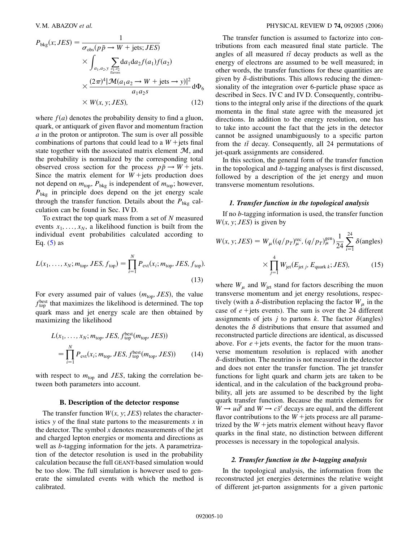<span id="page-9-0"></span>
$$
P_{\text{bkg}}(x; JES) = \frac{1}{\sigma_{\text{obs}}(p\bar{p} \to W + \text{jets}; JES)}
$$
  
 
$$
\times \int_{a_1, a_2, y} \sum_{\substack{q_1, q_2 \text{ is a} \\ q_1 \text{ wors} \\ \text{values}}} da_1 da_2 f(a_1) f(a_2)
$$
  
 
$$
\times \frac{(2\pi)^4 |\mathcal{M}(a_1 a_2 \to W + \text{jets} \to y)|^2}{a_1 a_2 s} d\Phi_6
$$
  
 
$$
\times W(x, y; JES), \qquad (12)
$$

where  $f(a)$  denotes the probability density to find a gluon, quark, or antiquark of given flavor and momentum fraction *a* in the proton or antiproton. The sum is over all possible combinations of partons that could lead to a  $W$  + jets final state together with the associated matrix element  $\mathcal{M}$ , and the probability is normalized by the corresponding total observed cross section for the process  $p\bar{p} \rightarrow W + \text{jets}$ . Since the matrix element for  $W + \text{jets}$  production does not depend on  $m_{\text{top}}$ ,  $P_{\text{bkg}}$  is independent of  $m_{\text{top}}$ ; however, *P*bkg in principle does depend on the jet energy scale through the transfer function. Details about the  $P_{bkg}$  calculation can be found in Sec. IV D.

To extract the top quark mass from a set of *N* measured events  $x_1, \ldots, x_N$ , a likelihood function is built from the individual event probabilities calculated according to Eq.  $(5)$  $(5)$  as

<span id="page-9-1"></span>
$$
L(x_1, ..., x_N; m_{\text{top}}, JES, f_{\text{top}}) = \prod_{i=1}^{N} P_{\text{evt}}(x_i; m_{\text{top}}, JES, f_{\text{top}}).
$$
\n(13)

For every assumed pair of values  $(m_{top}, JES)$ , the value  $f_{\text{top}}^{\text{best}}$  that maximizes the likelihood is determined. The top quark mass and jet energy scale are then obtained by maximizing the likelihood

$$
L(x_1, \ldots, x_N; m_{\text{top}}, JES, f_{\text{top}}^{\text{best}}(m_{\text{top}}, JES))
$$
  
= 
$$
\prod_{i=1}^{N} P_{\text{evt}}(x_i; m_{\text{top}}, JES, f_{\text{top}}^{\text{best}}(m_{\text{top}}, JES))
$$
 (14)

with respect to  $m_{\text{top}}$  and *JES*, taking the correlation between both parameters into account.

#### **B. Description of the detector response**

The transfer function  $W(x, y; JES)$  relates the characteristics *y* of the final state partons to the measurements *x* in the detector. The symbol  $x$  denotes measurements of the jet and charged lepton energies or momenta and directions as well as *b*-tagging information for the jets. A parametrization of the detector resolution is used in the probability calculation because the full GEANT-based simulation would be too slow. The full simulation is however used to generate the simulated events with which the method is calibrated.

The transfer function is assumed to factorize into contributions from each measured final state particle. The angles of all measured  $t\bar{t}$  decay products as well as the energy of electrons are assumed to be well measured; in other words, the transfer functions for these quantities are given by  $\delta$ -distributions. This allows reducing the dimensionality of the integration over 6-particle phase space as described in Secs. IV C and IV D. Consequently, contributions to the integral only arise if the directions of the quark momenta in the final state agree with the measured jet directions. In addition to the energy resolution, one has to take into account the fact that the jets in the detector cannot be assigned unambiguously to a specific parton from the  $t\bar{t}$  decay. Consequently, all 24 permutations of jet-quark assignments are considered.

In this section, the general form of the transfer function in the topological and *b*-tagging analyses is first discussed, followed by a description of the jet energy and muon transverse momentum resolutions.

# *1. Transfer function in the topological analysis*

If no *b*-tagging information is used, the transfer function  $W(x, y; JES)$  is given by

$$
W(x, y; JES) = W_{\mu}((q/p_T)_{\mu}^{\text{rec}}, (q/p_T)_{\mu}^{\text{gen}}) \frac{1}{24} \sum_{i=1}^{24} \delta(\text{angles})
$$

$$
\times \prod_{j=1}^{4} W_{\text{jet}}(E_{\text{jet }j}, E_{\text{quark }k}; JES), \tag{15}
$$

where  $W_{\mu}$  and  $W_{\rm jet}$  stand for factors describing the muon transverse momentum and jet energy resolutions, respectively (with a  $\delta$ -distribution replacing the factor  $W_{\mu}$  in the case of  $e$  + jets events). The sum is over the 24 different assignments of jets *j* to partons *k*. The factor  $\delta$ (angles) denotes the  $\delta$  distributions that ensure that assumed and reconstructed particle directions are identical, as discussed above. For  $e$  + jets events, the factor for the muon transverse momentum resolution is replaced with another -distribution. The neutrino is not measured in the detector and does not enter the transfer function. The jet transfer functions for light quark and charm jets are taken to be identical, and in the calculation of the background probability, all jets are assumed to be described by the light quark transfer function. Because the matrix elements for  $W \rightarrow u \bar{d}$  and  $W \rightarrow c \bar{s}$  decays are equal, and the different flavor contributions to the  $W$  + jets process are all parametrized by the  $W$  + jets matrix element without heavy flavor quarks in the final state, no distinction between different processes is necessary in the topological analysis.

### *2. Transfer function in the b-tagging analysis*

In the topological analysis, the information from the reconstructed jet energies determines the relative weight of different jet-parton assignments for a given partonic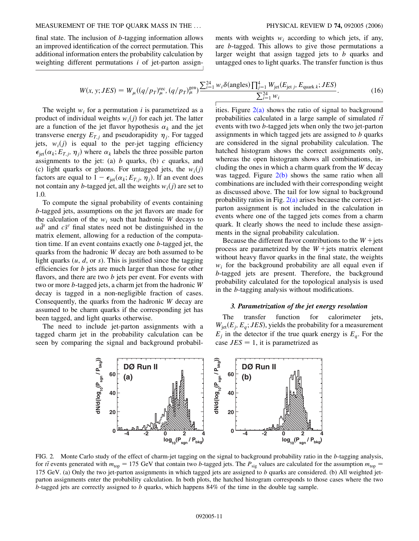final state. The inclusion of *b*-tagging information allows an improved identification of the correct permutation. This additional information enters the probability calculation by weighting different permutations *i* of jet-parton assignments with weights *wi* according to which jets, if any, are *b*-tagged. This allows to give those permutations a larger weight that assign tagged jets to *b* quarks and untagged ones to light quarks. The transfer function is thus

$$
W(x, y; JES) = W_{\mu}((q/p_T)_{\mu}^{\text{rec}}, (q/p_T)_{\mu}^{\text{gen}}) \frac{\sum_{i=1}^{24} w_i \delta(\text{angles}) \prod_{j=1}^4 W_{\text{jet}}(E_{\text{jet }j}, E_{\text{quark }k}; JES)}{\sum_{i=1}^{24} w_i}.
$$
 (16)

The weight  $w_i$  for a permutation  $i$  is parametrized as a product of individual weights  $w_i(j)$  for each jet. The latter are a function of the jet flavor hypothesis  $\alpha_k$  and the jet transverse energy  $E_{T,j}$  and pseudorapidity  $\eta_j$ . For tagged jets,  $w_i(j)$  is equal to the per-jet tagging efficiency  $\epsilon_{\rm jet}(\alpha_k; E_{T,i}, \eta_i)$  where  $\alpha_k$  labels the three possible parton assignments to the jet: (a) *b* quarks, (b) *c* quarks, and (c) light quarks or gluons. For untagged jets, the  $w_i(j)$ factors are equal to  $1 - \epsilon_{jet}(\alpha_k; E_{T,j}, \eta_j)$ . If an event does not contain any *b*-tagged jet, all the weights  $w_i(j)$  are set to 1.0.

To compute the signal probability of events containing *b*-tagged jets, assumptions on the jet flavors are made for the calculation of the  $w_i$  such that hadronic *W* decays to  $u\bar{d}$ <sup>*'*</sup> and  $c\bar{s}$ <sup>*'*</sup> final states need not be distinguished in the matrix element, allowing for a reduction of the computation time. If an event contains exactly one *b*-tagged jet, the quarks from the hadronic *W* decay are both assumed to be light quarks  $(u, d, \text{or } s)$ . This is justified since the tagging efficiencies for *b* jets are much larger than those for other flavors, and there are two *b* jets per event. For events with two or more *b*-tagged jets, a charm jet from the hadronic *W* decay is tagged in a non-negligible fraction of cases. Consequently, the quarks from the hadronic *W* decay are assumed to be charm quarks if the corresponding jet has been tagged, and light quarks otherwise.

<span id="page-10-1"></span>The need to include jet-parton assignments with a tagged charm jet in the probability calculation can be seen by comparing the signal and background probabilities. Figure  $2(a)$  shows the ratio of signal to background probabilities calculated in a large sample of simulated *tt* events with two *b*-tagged jets when only the two jet-parton assignments in which tagged jets are assigned to *b* quarks are considered in the signal probability calculation. The hatched histogram shows the correct assignments only, whereas the open histogram shows all combinations, including the ones in which a charm quark from the *W* decay was tagged. Figure  $2(b)$  shows the same ratio when all combinations are included with their corresponding weight as discussed above. The tail for low signal to background probability ratios in Fig.  $2(a)$  arises because the correct jetparton assignment is not included in the calculation in events where one of the tagged jets comes from a charm quark. It clearly shows the need to include these assignments in the signal probability calculation.

Because the different flavor contributions to the  $W +$ jets process are parametrized by the  $W +$ jets matrix element without heavy flavor quarks in the final state, the weights  $w_i$  for the background probability are all equal even if *b*-tagged jets are present. Therefore, the background probability calculated for the topological analysis is used in the *b*-tagging analysis without modifications.

#### *3. Parametrization of the jet energy resolution*

The transfer function for calorimeter jets,  $W_{\text{jet}}(E_i, E_a; JES)$ , yields the probability for a measurement  $E_i$  in the detector if the true quark energy is  $E_a$ . For the case  $JES = 1$ , it is parametrized as



<span id="page-10-0"></span>FIG. 2. Monte Carlo study of the effect of charm-jet tagging on the signal to background probability ratio in the *b*-tagging analysis, for *tt* events generated with  $m_{\text{top}} = 175 \text{ GeV}$  that contain two *b*-tagged jets. The  $P_{\text{sig}}$  values are calculated for the assumption  $m_{\text{top}} =$ 175 GeV. (a) Only the two jet-parton assignments in which tagged jets are assigned to *b* quarks are considered. (b) All weighted jetparton assignments enter the probability calculation. In both plots, the hatched histogram corresponds to those cases where the two *b*-tagged jets are correctly assigned to *b* quarks, which happens 84% of the time in the double tag sample.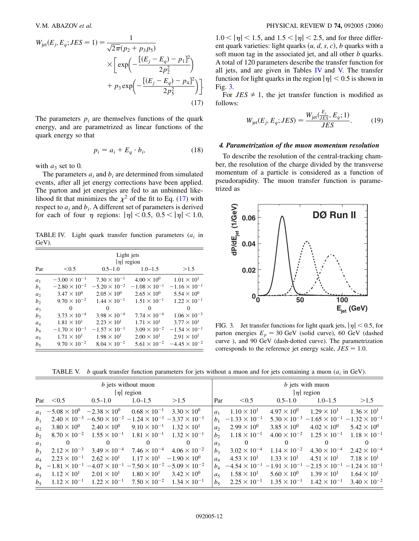$$
W_{\text{jet}}(E_j, E_q; JES = 1) = \frac{1}{\sqrt{2\pi}(p_2 + p_3 p_5)}
$$
  
 
$$
\times \left[ \exp\left(-\frac{[(E_j - E_q) - p_1]^2}{2p_2^2}\right) + p_3 \exp\left(-\frac{[(E_j - E_q) - p_4]^2}{2p_5^2}\right) \right].
$$
  
(17)

The parameters  $p_i$  are themselves functions of the quark energy, and are parametrized as linear functions of the quark energy so that

$$
p_i = a_i + E_q \cdot b_i,\tag{18}
$$

with  $a_3$  set to 0.

The parameters  $a_i$  and  $b_i$  are determined from simulated events, after all jet energy corrections have been applied. The parton and jet energies are fed to an unbinned likelihood fit that minimizes the  $\chi^2$  of the fit to Eq. [\(17\)](#page-10-1) with respect to  $a_i$  and  $b_i$ . A different set of parameters is derived for each of four  $\eta$  regions:  $|\eta|$  < 0.5, 0.5 <  $|\eta|$  < 1.0,

TABLE IV. Light quark transfer function parameters (*ai* in GeV).

|                | Light jets<br>$ \eta $ region |                        |                        |                        |  |  |  |
|----------------|-------------------------------|------------------------|------------------------|------------------------|--|--|--|
| Par            | < 0.5                         | $0.5 - 1.0$            | $1.0 - 1.5$            | >1.5                   |  |  |  |
| $a_1$          | $-3.00 \times 10^{-1}$        | $7.30 \times 10^{-1}$  | $4.00 \times 10^{0}$   | $1.01 \times 10^{1}$   |  |  |  |
| b <sub>1</sub> | $-2.80 \times 10^{-2}$        | $-5.20 \times 10^{-2}$ | $-1.08 \times 10^{-1}$ | $-1.16 \times 10^{-1}$ |  |  |  |
| a <sub>2</sub> | $3.47 \times 10^{0}$          | $2.05 \times 10^{0}$   | $2.65 \times 10^{0}$   | $5.54 \times 10^{0}$   |  |  |  |
| b <sub>2</sub> | $9.70 \times 10^{-2}$         | $1.44 \times 10^{-1}$  | $1.51 \times 10^{-1}$  | $1.22 \times 10^{-1}$  |  |  |  |
| $a_3$          | 0                             | 0                      | 0                      | 0                      |  |  |  |
| $b_3$          | $3.73 \times 10^{-4}$         | $3.98 \times 10^{-4}$  | $7.74 \times 10^{-4}$  | $1.06 \times 10^{-3}$  |  |  |  |
| $a_4$          | $1.81 \times 10^{1}$          | $2.23 \times 10^{1}$   | $1.71 \times 10^{1}$   | $3.77 \times 10^{1}$   |  |  |  |
| $b_4$          | $-1.70 \times 10^{-1}$        | $-1.57 \times 10^{-1}$ | $3.09 \times 10^{-2}$  | $-1.54 \times 10^{-1}$ |  |  |  |
| a <sub>5</sub> | $1.71 \times 10^{1}$          | $1.98 \times 10^{1}$   | $2.00 \times 10^{1}$   | $2.91 \times 10^{1}$   |  |  |  |
| $b_5$          | $9.70 \times 10^{-2}$         | $8.04 \times 10^{-2}$  | $5.61 \times 10^{-2}$  | $-4.45 \times 10^{-2}$ |  |  |  |

 $1.0 < |\eta| < 1.5$ , and  $1.5 < |\eta| < 2.5$ , and for three different quark varieties: light quarks  $(u, d, s, c)$ , *b* quarks with a soft muon tag in the associated jet, and all other *b* quarks. A total of 120 parameters describe the transfer function for all jets, and are given in Tables IV and V. The transfer function for light quarks in the region  $|\eta|$  < 0.5 is shown in Fig. [3.](#page-11-0)

For  $JES \neq 1$ , the jet transfer function is modified as follows:

$$
W_{\rm jet}(E_j, E_q; JES) = \frac{W_{\rm jet}(\frac{E_j}{JES}, E_q; 1)}{JES}.
$$
 (19)

## *4. Parametrization of the muon momentum resolution*

To describe the resolution of the central-tracking chamber, the resolution of the charge divided by the transverse momentum of a particle is considered as a function of pseudorapidity. The muon transfer function is parametrized as

<span id="page-11-0"></span>

FIG. 3. Jet transfer functions for light quark jets,  $|\eta|$  < 0.5, for parton energies  $E_p = 30$  GeV (solid curve), 60 GeV (dashed curve ), and 90 GeV (dash-dotted curve). The parametrization corresponds to the reference jet energy scale,  $JES = 1.0$ .

TABLE V. *b* quark transfer function parameters for jets without a muon and for jets containing a muon (*ai* in GeV).

| b jets without muon<br>$ \eta $ region |                       |                                                                                                                                       |                                            |                      |                | <i>b</i> jets with muon<br>$ \eta $ region                                                                                            |                       |                                                                     |                       |
|----------------------------------------|-----------------------|---------------------------------------------------------------------------------------------------------------------------------------|--------------------------------------------|----------------------|----------------|---------------------------------------------------------------------------------------------------------------------------------------|-----------------------|---------------------------------------------------------------------|-----------------------|
|                                        | Par $< 0.5$           | $0.5 - 1.0$                                                                                                                           | $1.0 - 1.5$                                | >1.5                 | Par            | < 0.5                                                                                                                                 | $0.5 - 1.0$           | $1.0 - 1.5$                                                         | >1.5                  |
|                                        |                       | $a_1$ -5.08 $\times$ 10 <sup>0</sup> -2.38 $\times$ 10 <sup>0</sup>                                                                   | $0.68 \times 10^{-1}$                      | $3.30 \times 10^{0}$ | a <sub>1</sub> | $1.10 \times 10^{1}$                                                                                                                  | $4.97 \times 10^{0}$  | $1.29 \times 10^{1}$                                                | $1.36 \times 10^{1}$  |
| b <sub>1</sub>                         |                       | $2.40 \times 10^{-3}$ -6.50 $\times 10^{-2}$ -1.24 $\times 10^{-1}$ -3.37 $\times 10^{-1}$                                            |                                            |                      |                | $b_1$ -1.33 $\times$ 10 <sup>-1</sup>                                                                                                 |                       | $5.30 \times 10^{-3}$ -1.65 $\times 10^{-1}$ -1.32 $\times 10^{-1}$ |                       |
| a <sub>2</sub>                         | $3.80 \times 10^{0}$  | $2.40 \times 10^{0}$                                                                                                                  | $9.10 \times 10^{-1}$                      | $1.32 \times 10^{1}$ | a <sub>2</sub> | $2.99 \times 10^{0}$                                                                                                                  | $3.85 \times 10^{0}$  | $4.02 \times 10^{0}$                                                | $5.42 \times 10^{0}$  |
| b <sub>2</sub>                         |                       | $8.70 \times 10^{-2}$ $1.55 \times 10^{-1}$ $1.81 \times 10^{-1}$ $1.32 \times 10^{-1}$                                               |                                            |                      | b <sub>2</sub> | $1.18 \times 10^{-1}$                                                                                                                 |                       | $4.00 \times 10^{-2}$ $1.25 \times 10^{-1}$                         | $1.18 \times 10^{-1}$ |
| $a_3$                                  | 0                     | $\Omega$                                                                                                                              | $\Omega$                                   | 0                    | a <sub>3</sub> | 0                                                                                                                                     | $\Omega$              | $\Omega$                                                            | 0                     |
| $b_3$                                  | $2.12 \times 10^{-3}$ | $3.49 \times 10^{-4}$ $7.46 \times 10^{-4}$ $4.06 \times 10^{-2}$                                                                     |                                            |                      | $b_3$          | $3.02 \times 10^{-4}$                                                                                                                 | $1.14 \times 10^{-2}$ | $4.30 \times 10^{-4}$                                               | $2.42 \times 10^{-4}$ |
| $a_4$                                  | $2.23 \times 10^{-1}$ | $2.62 \times 10^{1}$                                                                                                                  | $1.17 \times 10^{1}$ $-1.90 \times 10^{0}$ |                      | a <sub>A</sub> | $4.53 \times 10^{1}$                                                                                                                  | $1.33 \times 10^{1}$  | $4.51 \times 10^{1}$                                                | $7.18 \times 10^{1}$  |
|                                        |                       | $b_4$ -1.81 $\times$ 10 <sup>-1</sup> -4.07 $\times$ 10 <sup>-1</sup> -7.50 $\times$ 10 <sup>-2</sup> -5.09 $\times$ 10 <sup>-2</sup> |                                            |                      |                | $b_4$ -4.54 $\times$ 10 <sup>-1</sup> -1.91 $\times$ 10 <sup>-1</sup> -2.15 $\times$ 10 <sup>-1</sup> -1.24 $\times$ 10 <sup>-1</sup> |                       |                                                                     |                       |
| a <sub>5</sub>                         | $1.12 \times 10^{1}$  | $2.01 \times 10^{1}$                                                                                                                  | $1.80 \times 10^{1}$                       | $3.42 \times 10^{0}$ | $a_5$          | $1.58 \times 10^{1}$                                                                                                                  | $5.60 \times 10^{0}$  | $1.39 \times 10^{1}$                                                | $1.64 \times 10^{1}$  |
| $b_5$                                  | $1.12 \times 10^{-1}$ | $1.22 \times 10^{-1}$ $7.50 \times 10^{-2}$ $1.34 \times 10^{-1}$                                                                     |                                            |                      | $b_5$          |                                                                                                                                       |                       | $2.25 \times 10^{-1}$ $1.35 \times 10^{-1}$ $1.42 \times 10^{-1}$   | $3.40 \times 10^{-2}$ |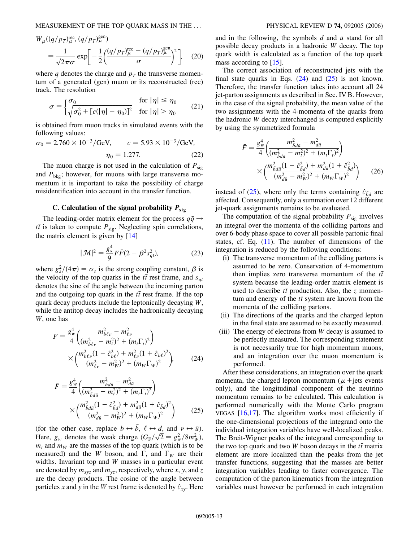MEASUREMENT OF THE TOP QUARK MASS IN THE ... PHYSICAL REVIEW D **74,** 092005 (2006)

$$
W_{\mu}((q/p_T)_{\mu}^{\text{rec}}, (q/p_T)_{\mu}^{\text{gen}})
$$
  
=  $\frac{1}{\sqrt{2\pi}\sigma} \exp\left[-\frac{1}{2}\left(\frac{(q/p_T)_{\mu}^{\text{rec}} - (q/p_T)_{\mu}^{\text{gen}}}{\sigma}\right)^2\right],$  (20)

where *q* denotes the charge and  $p_T$  the transverse momentum of a generated (gen) muon or its reconstructed (rec) track. The resolution

$$
\sigma = \begin{cases} \sigma_0 & \text{for } |\eta| \le \eta_0\\ \sqrt{\sigma_0^2 + [c(|\eta| - \eta_0)]^2} & \text{for } |\eta| > \eta_0 \end{cases} \tag{21}
$$

is obtained from muon tracks in simulated events with the following values:

$$
\sigma_0 = 2.760 \times 10^{-3} / \text{GeV}, \qquad c = 5.93 \times 10^{-3} / \text{GeV},
$$

$$
\eta_0 = 1.277. \tag{22}
$$

The muon charge is not used in the calculation of  $P_{sig}$ and  $P_{\text{bkg}}$ ; however, for muons with large transverse momentum it is important to take the possibility of charge misidentification into account in the transfer function.

# C. Calculation of the signal probability  $P_{\text{sig}}$

<span id="page-12-3"></span>The leading-order matrix element for the process  $q\bar{q} \rightarrow$  $t\bar{t}$  is taken to compute  $P_{sig}$ . Neglecting spin correlations, the matrix element is given by [[14\]](#page-25-13)

$$
|\mathcal{M}|^2 = \frac{g_s^4}{9} F\bar{F}(2 - \beta^2 s_{qt}^2),
$$
 (23)

where  $g_s^2/(4\pi) = \alpha_s$  is the strong coupling constant,  $\beta$  is the velocity of the top quarks in the  $t\bar{t}$  rest frame, and  $s_{qt}$ denotes the sine of the angle between the incoming parton and the outgoing top quark in the  $t\bar{t}$  rest frame. If the top quark decay products include the leptonically decaying *W*, while the antitop decay includes the hadronically decaying *W*, one has

<span id="page-12-1"></span>
$$
F = \frac{g_w^4}{4} \left( \frac{m_{b\ell\nu}^2 - m_{\ell\nu}^2}{(m_{b\ell\nu}^2 - m_{\ell}^2)^2 + (m_t \Gamma_t)^2} \right) \times \left( \frac{m_{b\ell\nu}^2 (1 - \hat{c}_{b\ell}^2) + m_{\ell\nu}^2 (1 + \hat{c}_{b\ell})^2}{(m_{\ell\nu}^2 - m_W^2)^2 + (m_W \Gamma_W)^2} \right), \tag{24}
$$

$$
\bar{F} = \frac{g_w^4}{4} \left( \frac{m_{\tilde{b}d\tilde{u}}^2 - m_{d\tilde{u}}^2}{(m_{\tilde{b}d\tilde{u}}^2 - m_t^2)^2 + (m_t \Gamma_t)^2} \right) \times \left( \frac{m_{\tilde{b}d\tilde{u}}^2 (1 - \hat{c}_{\tilde{b}d}^2) + m_{d\tilde{u}}^2 (1 + \hat{c}_{\tilde{b}d})^2}{(m_{d\tilde{u}}^2 - m_W^2)^2 + (m_W \Gamma_W)^2} \right)
$$
(25)

<span id="page-12-0"></span>(for the other case, replace  $b \leftrightarrow \overline{b}$ ,  $\ell \leftrightarrow d$ , and  $\nu \leftrightarrow \overline{u}$ ). Here,  $g_w$  denotes the weak charge  $(G_F/\sqrt{2}) = g_w^2/8m_w^2$ ,  $m_t$  and  $m_W$  are the masses of the top quark (which is to be measured) and the *W* boson, and  $\Gamma_t$  and  $\Gamma_W$  are their widths. Invariant top and *W* masses in a particular event are denoted by  $m_{xyz}$  and  $m_{yz}$ , respectively, where *x*, *y*, and *z* are the decay products. The cosine of the angle between particles *x* and *y* in the *W* rest frame is denoted by  $\hat{c}_{xy}$ . Here and in the following, the symbols  $d$  and  $\bar{u}$  stand for all possible decay products in a hadronic *W* decay. The top quark width is calculated as a function of the top quark mass according to  $[15]$  $[15]$ .

The correct association of reconstructed jets with the final state quarks in Eqs.  $(24)$  $(24)$  and  $(25)$  is not known. Therefore, the transfer function takes into account all 24 jet-parton assignments as described in Sec. IV B. However, in the case of the signal probability, the mean value of the two assignments with the 4-momenta of the quarks from the hadronic *W* decay interchanged is computed explicitly by using the symmetrized formula

<span id="page-12-2"></span>
$$
\bar{F} = \frac{g_w^4}{4} \left( \frac{m_{\tilde{b}d\bar{u}}^2 - m_{d\bar{u}}^2}{(m_{\tilde{b}d\bar{u}}^2 - m_t^2)^2 + (m_t \Gamma_t)^2} \right) \times \left( \frac{m_{\tilde{b}d\bar{u}}^2 (1 - \hat{c}_{\tilde{b}d}^2) + m_{d\bar{u}}^2 (1 + \hat{c}_{\tilde{b}d}^2)}{(m_{d\bar{u}}^2 - m_W^2)^2 + (m_W \Gamma_W)^2} \right) \tag{26}
$$

instead of ([25](#page-12-1)), where only the terms containing  $\hat{c}_{\bar{b}d}$  are affected. Consequently, only a summation over 12 different jet-quark assignments remains to be evaluated.

The computation of the signal probability  $P_{sig}$  involves an integral over the momenta of the colliding partons and over 6-body phase space to cover all possible partonic final states, cf. Eq.  $(11)$ . The number of dimensions of the integration is reduced by the following conditions:

- (i) The transverse momentum of the colliding partons is assumed to be zero. Conservation of 4-momentum then implies zero transverse momentum of the  $t\bar{t}$ system because the leading-order matrix element is used to describe  $t\bar{t}$  production. Also, the *z* momentum and energy of the  $t\bar{t}$  system are known from the momenta of the colliding partons.
- (ii) The directions of the quarks and the charged lepton in the final state are assumed to be exactly measured.
- (iii) The energy of electrons from *W* decay is assumed to be perfectly measured. The corresponding statement is not necessarily true for high momentum muons, and an integration over the muon momentum is performed.

After these considerations, an integration over the quark momenta, the charged lepton momentum  $(\mu + \text{jets} \text{ events})$ only), and the longitudinal component of the neutrino momentum remains to be calculated. This calculation is performed numerically with the Monte Carlo program VEGAS [[16](#page-25-15),[17](#page-25-16)]. The algorithm works most efficiently if the one-dimensional projections of the integrand onto the individual integration variables have well-localized peaks. The Breit-Wigner peaks of the integrand corresponding to the two top quark and two  $W$  boson decays in the  $t\bar{t}$  matrix element are more localized than the peaks from the jet transfer functions, suggesting that the masses are better integration variables leading to faster convergence. The computation of the parton kinematics from the integration variables must however be performed in each integration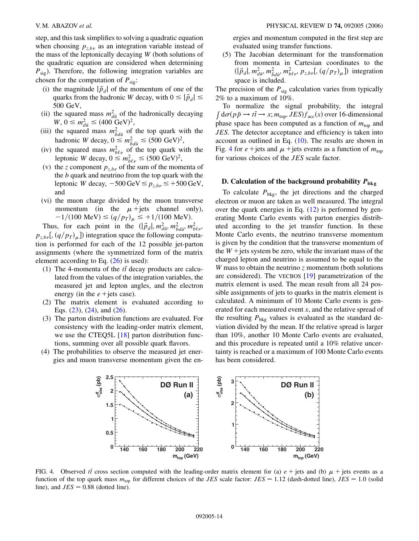step, and this task simplifies to solving a quadratic equation when choosing  $p_{z,b\nu}$  as an integration variable instead of the mass of the leptonically decaying *W* (both solutions of the quadratic equation are considered when determining  $P_{\text{sig}}$ ). Therefore, the following integration variables are chosen for the computation of  $P_{sig}$ :

- (i) the magnitude  $|\vec{p}_d|$  of the momentum of one of the quarks from the hadronic *W* decay, with  $0 \leq |\vec{p}_d| \leq$ 500 GeV,
- (ii) the squared mass  $m_{d\bar{u}}^2$  of the hadronically decaying  $W, 0 \leq m_{d\bar{u}}^2 \leq (400 \text{ GeV})^2,$
- (iii) the squared mass  $m_{\bar{b}d\bar{u}}^2$  of the top quark with the hadronic *W* decay,  $0 \le m_{\bar{b}d\bar{u}}^2 \le (500 \text{ GeV})^2$ ,
- (iv) the squared mass  $m_{b\ell\nu}^2$  of the top quark with the leptonic *W* decay,  $0 \le m_{b\ell\nu}^2 \le (500 \text{ GeV})^2$ ,
- (v) the *z* component  $p_{z,b\nu}$  of the sum of the momenta of the *b* quark and neutrino from the top quark with the leptonic *W* decay,  $-500 \,\text{GeV} \le p_{z,b\nu} \le +500 \,\text{GeV}$ , and
- (vi) the muon charge divided by the muon transverse momentum (in the  $\mu$ +jets channel only),  $-1/(100 \text{ MeV}) \le (q/p_T)_{\mu} \le +1/(100 \text{ MeV}).$

Thus, for each point in the  $(|\vec{p}_d|, m_{d\bar{u}}^2, m_{\bar{b}d\bar{u}}^2, m_{b\ell\nu}^2,$  $p_{z,b\nu}$ ,  $\left(q/p_T\right)_{\mu}$ ] integration space the following computation is performed for each of the 12 possible jet-parton assignments (where the symmetrized form of the matrix element according to Eq.  $(26)$  $(26)$  $(26)$  is used):

- (1) The 4-momenta of the  $t\bar{t}$  decay products are calculated from the values of the integration variables, the measured jet and lepton angles, and the electron energy (in the  $e$  + jets case).
- (2) The matrix element is evaluated according to Eqs.  $(23)$  $(23)$  $(23)$ ,  $(24)$  $(24)$  $(24)$ , and  $(26)$  $(26)$  $(26)$ .
- (3) The parton distribution functions are evaluated. For consistency with the leading-order matrix element, we use the CTEQ5L [\[18\]](#page-25-17) parton distribution functions, summing over all possible quark flavors.
- <span id="page-13-0"></span>(4) The probabilities to observe the measured jet energies and muon transverse momentum given the en-

ergies and momentum computed in the first step are evaluated using transfer functions.

(5) The Jacobian determinant for the transformation from momenta in Cartesian coordinates to the  $(|\vec{p}_d|, m_{d\bar{u}}^2, m_{\bar{b}d\bar{u}}^2, m_{b\ell\nu}^2, p_{z,b\nu}$ ,  $(q/p_T)_{\mu}$ ) integration space is included.

The precision of the  $P_{sig}$  calculation varies from typically 2% to a maximum of 10%.

To normalize the signal probability, the integral  $\int d\sigma (p\bar{p} \rightarrow t\bar{t} \rightarrow x; m_{top}, IES) f_{acc}(x)$  over 16-dimensional phase space has been computed as a function of  $m_{\text{top}}$  and *JES*. The detector acceptance and efficiency is taken into account as outlined in Eq. [\(10\)](#page-8-2). The results are shown in Fig. [4](#page-13-0) for  $e$  + jets and  $\mu$  + jets events as a function of  $m_{\text{top}}$ for various choices of the *JES* scale factor.

# **D. Calculation of the background probability**  $P_{bkg}$

To calculate  $P_{bkg}$ , the jet directions and the charged electron or muon are taken as well measured. The integral over the quark energies in Eq. [\(12\)](#page-9-0) is performed by generating Monte Carlo events with parton energies distributed according to the jet transfer function. In these Monte Carlo events, the neutrino transverse momentum is given by the condition that the transverse momentum of the  $W$  + jets system be zero, while the invariant mass of the charged lepton and neutrino is assumed to be equal to the *W* mass to obtain the neutrino *z* momentum (both solutions are considered). The VECBOS [\[19\]](#page-25-18) parametrization of the matrix element is used. The mean result from all 24 possible assignments of jets to quarks in the matrix element is calculated. A minimum of 10 Monte Carlo events is generated for each measured event *x*, and the relative spread of the resulting  $P_{bkg}$  values is evaluated as the standard deviation divided by the mean. If the relative spread is larger than 10%, another 10 Monte Carlo events are evaluated, and this procedure is repeated until a 10% relative uncertainty is reached or a maximum of 100 Monte Carlo events has been considered.



FIG. 4. Observed *tt* cross section computed with the leading-order matrix element for (a)  $e +$  jets and (b)  $\mu$  + jets events as a function of the top quark mass  $m_{top}$  for different choices of the *JES* scale factor:  $JES = 1.12$  (dash-dotted line),  $JES = 1.0$  (solid line), and  $JES = 0.88$  (dotted line).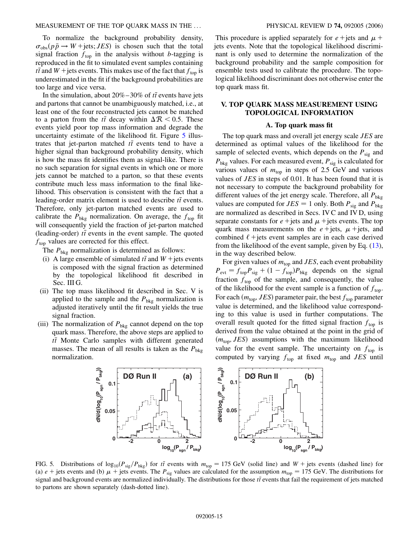To normalize the background probability density,  $\sigma_{obs}(p\bar{p} \rightarrow W + \text{jets}; JES)$  is chosen such that the total signal fraction  $f_{top}$  in the analysis without *b*-tagging is reproduced in the fit to simulated event samples containing  $t\bar{t}$  and  $W$  + jets events. This makes use of the fact that  $f_{top}$  is underestimated in the fit if the background probabilities are too large and vice versa.

In the simulation, about  $20\% - 30\%$  of  $t\bar{t}$  events have jets and partons that cannot be unambiguously matched, i.e., at least one of the four reconstructed jets cannot be matched to a parton from the  $t\bar{t}$  decay within  $\Delta \mathcal{R} < 0.5$ . These events yield poor top mass information and degrade the uncertainty estimate of the likelihood fit. Figure [5](#page-14-0) illustrates that jet-parton matched  $t\bar{t}$  events tend to have a higher signal than background probability density, which is how the mass fit identifies them as signal-like. There is no such separation for signal events in which one or more jets cannot be matched to a parton, so that these events contribute much less mass information to the final likelihood. This observation is consistent with the fact that a leading-order matrix element is used to describe  $t\bar{t}$  events. Therefore, only jet-parton matched events are used to calibrate the  $P_{bkg}$  normalization. On average, the  $f_{top}$  fit will consequently yield the fraction of jet-parton matched (leading-order)  $t\bar{t}$  events in the event sample. The quoted  $f_{\text{top}}$  values are corrected for this effect.

The  $P_{\text{bkg}}$  normalization is determined as follows:

- (i) A large ensemble of simulated  $t\bar{t}$  and  $W$  + jets events is composed with the signal fraction as determined by the topological likelihood fit described in Sec. III G.
- (ii) The top mass likelihood fit described in Sec. V is applied to the sample and the  $P_{bkg}$  normalization is adjusted iteratively until the fit result yields the true signal fraction.
- <span id="page-14-0"></span>(iii) The normalization of  $P_{bkg}$  cannot depend on the top quark mass. Therefore, the above steps are applied to *tt* Monte Carlo samples with different generated masses. The mean of all results is taken as the  $P_{bkg}$ normalization.

This procedure is applied separately for  $e + \text{jets}$  and  $\mu +$ jets events. Note that the topological likelihood discriminant is only used to determine the normalization of the background probability and the sample composition for ensemble tests used to calibrate the procedure. The topological likelihood discriminant does not otherwise enter the top quark mass fit.

# **V. TOP QUARK MASS MEASUREMENT USING TOPOLOGICAL INFORMATION**

#### **A. Top quark mass fit**

The top quark mass and overall jet energy scale *JES* are determined as optimal values of the likelihood for the sample of selected events, which depends on the  $P_{sig}$  and *P*bkg values. For each measured event, *P*sig is calculated for various values of  $m_{\text{top}}$  in steps of 2.5 GeV and various values of *JES* in steps of 0.01. It has been found that it is not necessary to compute the background probability for different values of the jet energy scale. Therefore, all *P*bkg values are computed for  $JES = 1$  only. Both  $P_{sig}$  and  $P_{bkg}$ are normalized as described in Secs. IV C and IV D, using separate constants for  $e$  + jets and  $\mu$  + jets events. The top quark mass measurements on the  $e$ +jets,  $\mu$ +jets, and combined  $\ell$  + jets event samples are in each case derived from the likelihood of the event sample, given by Eq. ([13\)](#page-9-1), in the way described below.

For given values of  $m_{\text{top}}$  and *JES*, each event probability  $P_{\text{evt}} = f_{\text{top}} P_{\text{sig}} + (1 - f_{\text{top}}) P_{\text{bkg}}$  depends on the signal fraction  $f_{top}$  of the sample, and consequently, the value of the likelihood for the event sample is a function of  $f_{\text{top}}$ . For each  $(m_{\text{top}}$ , *JES*) parameter pair, the best  $f_{\text{top}}$  parameter value is determined, and the likelihood value corresponding to this value is used in further computations. The overall result quoted for the fitted signal fraction  $f_{top}$  is derived from the value obtained at the point in the grid of  $(m<sub>top</sub>, JES)$  assumptions with the maximum likelihood value for the event sample. The uncertainty on  $f_{\text{top}}$  is computed by varying  $f_{\text{top}}$  at fixed  $m_{\text{top}}$  and *JES* until



FIG. 5. Distributions of  $\log_{10}(P_{sig}/P_{bkg})$  for *tt* events with  $m_{top} = 175$  GeV (solid line) and  $W + \text{jets}$  events (dashed line) for (a)  $e +$  jets events and (b)  $\mu$  + jets events. The  $P_{sig}$  values are calculated for the assumption  $m_{top} = 175$  GeV. The distributions for signal and background events are normalized individually. The distributions for those  $t\bar{t}$  events that fail the requirement of jets matched to partons are shown separately (dash-dotted line).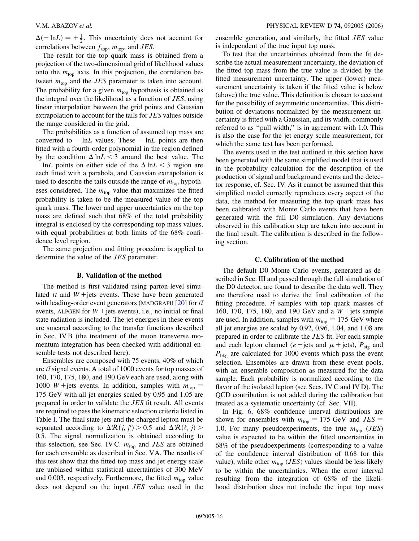$\Delta(-\ln L) = +\frac{1}{2}$ . This uncertainty does not account for correlations between  $f_{\text{top}}$ ,  $m_{\text{top}}$ , and *JES*.

The result for the top quark mass is obtained from a projection of the two-dimensional grid of likelihood values onto the  $m_{\text{top}}$  axis. In this projection, the correlation between  $m_{\text{top}}$  and the *JES* parameter is taken into account. The probability for a given  $m_{\text{top}}$  hypothesis is obtained as the integral over the likelihood as a function of *JES*, using linear interpolation between the grid points and Gaussian extrapolation to account for the tails for *JES* values outside the range considered in the grid.

The probabilities as a function of assumed top mass are converted to  $-\ln L$  values. These  $-\ln L$  points are then fitted with a fourth-order polynomial in the region defined by the condition  $\Delta \ln L < 3$  around the best value. The  $-\ln L$  points on either side of the  $\Delta \ln L < 3$  region are each fitted with a parabola, and Gaussian extrapolation is used to describe the tails outside the range of  $m_{\text{top}}$  hypotheses considered. The  $m_{\text{top}}$  value that maximizes the fitted probability is taken to be the measured value of the top quark mass. The lower and upper uncertainties on the top mass are defined such that 68% of the total probability integral is enclosed by the corresponding top mass values, with equal probabilities at both limits of the 68% confidence level region.

The same projection and fitting procedure is applied to determine the value of the *JES* parameter.

#### **B. Validation of the method**

The method is first validated using parton-level simulated  $t\bar{t}$  and  $W$  + jets events. These have been generated with leading-order event generators (MADGRAPH [\[20\]](#page-25-19) for *tt* events, ALPGEN for  $W$  + jets events), i.e., no initial or final state radiation is included. The jet energies in these events are smeared according to the transfer functions described in Sec. IV B (the treatment of the muon transverse momentum integration has been checked with additional ensemble tests not described here).

Ensembles are composed with 75 events, 40% of which are *tt* signal events. A total of 1000 events for top masses of 160, 170, 175, 180, and 190 GeVeach are used, along with 1000 *W* + jets events. In addition, samples with  $m_{top} =$ 175 GeV with all jet energies scaled by 0.95 and 1.05 are prepared in order to validate the *JES* fit result. All events are required to pass the kinematic selection criteria listed in Table I. The final state jets and the charged lepton must be separated according to  $\Delta \mathcal{R}(j, j') > 0.5$  and  $\Delta \mathcal{R}(\ell, j) >$ 0*:*5. The signal normalization is obtained according to this selection, see Sec. IV C.  $m_{top}$  and *JES* are obtained for each ensemble as described in Sec. VA. The results of this test show that the fitted top mass and jet energy scale are unbiased within statistical uncertainties of 300 MeV and 0.003, respectively. Furthermore, the fitted  $m_{\text{top}}$  value does not depend on the input *JES* value used in the ensemble generation, and similarly, the fitted *JES* value is independent of the true input top mass.

To test that the uncertainties obtained from the fit describe the actual measurement uncertainty, the deviation of the fitted top mass from the true value is divided by the fitted measurement uncertainty. The upper (lower) measurement uncertainty is taken if the fitted value is below (above) the true value. This definition is chosen to account for the possibility of asymmetric uncertainties. This distribution of deviations normalized by the measurement uncertainty is fitted with a Gaussian, and its width, commonly referred to as ''pull width,'' is in agreement with 1.0. This is also the case for the jet energy scale measurement, for which the same test has been performed.

The events used in the test outlined in this section have been generated with the same simplified model that is used in the probability calculation for the description of the production of signal and background events and the detector response, cf. Sec. IV. As it cannot be assumed that this simplified model correctly reproduces every aspect of the data, the method for measuring the top quark mass has been calibrated with Monte Carlo events that have been generated with the full D0 simulation. Any deviations observed in this calibration step are taken into account in the final result. The calibration is described in the following section.

# **C. Calibration of the method**

The default D0 Monte Carlo events, generated as described in Sec. III and passed through the full simulation of the D0 detector, are found to describe the data well. They are therefore used to derive the final calibration of the fitting procedure.  $t\bar{t}$  samples with top quark masses of 160, 170, 175, 180, and 190 GeV and a *W* jets sample are used. In addition, samples with  $m_{\text{top}} = 175 \text{ GeV}$  where all jet energies are scaled by 0.92, 0.96, 1.04, and 1.08 are prepared in order to calibrate the *JES* fit. For each sample and each lepton channel (*e* + jets and  $\mu$  + jets),  $P_{sig}$  and  $P_{\text{bkg}}$  are calculated for 1000 events which pass the event selection. Ensembles are drawn from these event pools, with an ensemble composition as measured for the data sample. Each probability is normalized according to the flavor of the isolated lepton (see Secs. IV C and IV D). The QCD contribution is not added during the calibration but treated as a systematic uncertainty (cf. Sec. VII).

In Fig. [6](#page-16-0), 68% confidence interval distributions are shown for ensembles with  $m_{\text{top}} = 175 \text{ GeV}$  and  $JES =$ 1*:*0. For many pseudoexperiments, the true *m*top (*JES*) value is expected to be within the fitted uncertainties in 68% of the pseudoexperiments (corresponding to a value of the confidence interval distribution of 0.68 for this value), while other  $m_{\text{top}}$  (*JES*) values should be less likely to be within the uncertainties. When the error interval resulting from the integration of 68% of the likelihood distribution does not include the input top mass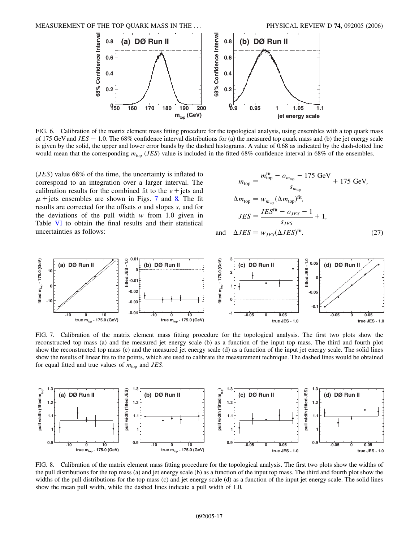<span id="page-16-0"></span>

FIG. 6. Calibration of the matrix element mass fitting procedure for the topological analysis, using ensembles with a top quark mass of 175 GeV and  $JES = 1.0$ . The 68% confidence interval distributions for (a) the measured top quark mass and (b) the jet energy scale is given by the solid, the upper and lower error bands by the dashed histograms. A value of 0.68 as indicated by the dash-dotted line would mean that the corresponding  $m_{\text{top}}$  (*JES*) value is included in the fitted 68% confidence interval in 68% of the ensembles.

(*JES*) value 68% of the time, the uncertainty is inflated to correspond to an integration over a larger interval. The calibration results for the combined fit to the  $e +$  jets and  $\mu$  + jets ensembles are shown in Figs. [7](#page-16-1) and [8.](#page-16-2) The fit results are corrected for the offsets *o* and slopes *s*, and for the deviations of the pull width *w* from 1.0 given in Table VI to obtain the final results and their statistical uncertainties as follows:

$$
m_{\text{top}} = \frac{m_{\text{top}}^{\text{fit}} - o_{m_{\text{top}}} - 175 \text{ GeV}}{s_{m_{\text{top}}}} + 175 \text{ GeV},
$$
  
\n
$$
\Delta m_{\text{top}} = w_{m_{\text{top}}} (\Delta m_{\text{top}})^{\text{fit}},
$$
  
\n
$$
JES = \frac{JES^{\text{fit}} - o_{JES} - 1}{s_{JES}} + 1,
$$
  
\n
$$
\Delta JES = w_{JES} (\Delta JES)^{\text{fit}}.
$$
 (27)

<span id="page-16-1"></span>

and

FIG. 7. Calibration of the matrix element mass fitting procedure for the topological analysis. The first two plots show the reconstructed top mass (a) and the measured jet energy scale (b) as a function of the input top mass. The third and fourth plot show the reconstructed top mass (c) and the measured jet energy scale (d) as a function of the input jet energy scale. The solid lines show the results of linear fits to the points, which are used to calibrate the measurement technique. The dashed lines would be obtained for equal fitted and true values of  $m_{\text{top}}$  and *JES*.

<span id="page-16-2"></span>

FIG. 8. Calibration of the matrix element mass fitting procedure for the topological analysis. The first two plots show the widths of the pull distributions for the top mass (a) and jet energy scale (b) as a function of the input top mass. The third and fourth plot show the widths of the pull distributions for the top mass (c) and jet energy scale (d) as a function of the input jet energy scale. The solid lines show the mean pull width, while the dashed lines indicate a pull width of 1.0.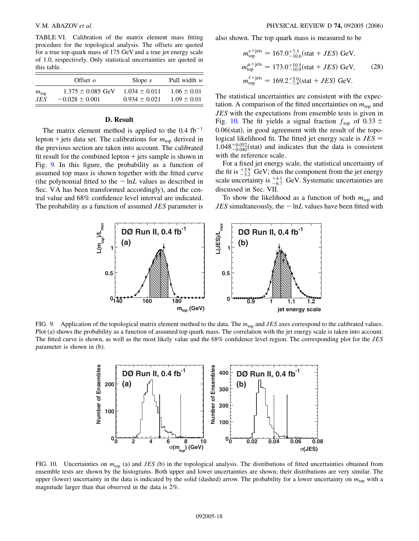TABLE VI. Calibration of the matrix element mass fitting procedure for the topological analysis. The offsets are quoted for a true top quark mass of 175 GeV and a true jet energy scale of 1.0, respectively. Only statistical uncertainties are quoted in this table.

|               | Offset $\rho$         | Slope $s$         | Pull width $w$  |
|---------------|-----------------------|-------------------|-----------------|
| $m_{\rm top}$ | $1.375 \pm 0.085$ GeV | $1.034 \pm 0.011$ | $1.06 \pm 0.01$ |
| .IES          | $-0.028 \pm 0.001$    | $0.934 + 0.021$   | $1.09 \pm 0.01$ |

# **D. Result**

The matrix element method is applied to the  $0.4 \text{ fb}^{-1}$ lepton + jets data set. The calibrations for  $m_{top}$  derived in the previous section are taken into account. The calibrated fit result for the combined lepton  $+$  jets sample is shown in Fig. [9.](#page-17-0) In this figure, the probability as a function of assumed top mass is shown together with the fitted curve (the polynomial fitted to the  $-\ln L$  values as described in Sec. VA has been transformed accordingly), and the central value and 68% confidence level interval are indicated. The probability as a function of assumed *JES* parameter is also shown. The top quark mass is measured to be

$$
m_{\text{top}}^{e+\text{jets}} = 167.0^{+7.3}_{-10.6} \text{(stat} + JES) \text{ GeV},
$$
  
\n
$$
m_{\text{top}}^{\mu+\text{jets}} = 173.0^{+10.5}_{-10.9} \text{(stat} + JES) \text{ GeV}, \qquad (28)
$$
  
\n
$$
m_{\text{top}}^{\ell+\text{jets}} = 169.2^{+5.0}_{-7.4} \text{(stat} + JES) \text{ GeV}.
$$

The statistical uncertainties are consistent with the expectation. A comparison of the fitted uncertainties on  $m_{top}$  and *JES* with the expectations from ensemble tests is given in Fig. [10.](#page-17-1) The fit yields a signal fraction  $f_{\text{top}}$  of 0.33  $\pm$ 0.06(stat), in good agreement with the result of the topological likelihood fit. The fitted jet energy scale is *JES*  $1.048^{+0.052}_{-0.040}$ (stat) and indicates that the data is consistent with the reference scale.

For a fixed jet energy scale, the statistical uncertainty of the fit is  $\frac{+2.9}{-3.2}$  GeV; thus the component from the jet energy scale uncertainty is  $^{+4.1}_{-6.7}$  GeV. Systematic uncertainties are discussed in Sec. VII.

To show the likelihood as a function of both  $m_{top}$  and  $JES$  simultaneously, the  $-\ln L$  values have been fitted with

<span id="page-17-0"></span>

<span id="page-17-1"></span>FIG. 9. Application of the topological matrix element method to the data. The *m*top and *JES* axes correspond to the calibrated values. Plot (a) shows the probability as a function of assumed top quark mass. The correlation with the jet energy scale is taken into account. The fitted curve is shown, as well as the most likely value and the 68% confidence level region. The corresponding plot for the *JES* parameter is shown in (b).



FIG. 10. Uncertainties on  $m_{\text{top}}$  (a) and *JES* (b) in the topological analysis. The distributions of fitted uncertainties obtained from ensemble tests are shown by the histograms. Both upper and lower uncertainties are shown; their distributions are very similar. The upper (lower) uncertainty in the data is indicated by the solid (dashed) arrow. The probability for a lower uncertainty on  $m_{\text{top}}$  with a magnitude larger than that observed in the data is 2%.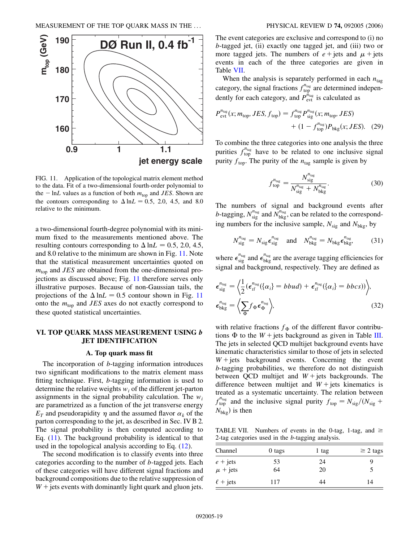<span id="page-18-1"></span><span id="page-18-0"></span>

FIG. 11. Application of the topological matrix element method to the data. Fit of a two-dimensional fourth-order polynomial to the  $-\ln L$  values as a function of both  $m_{\text{top}}$  and *JES*. Shown are the contours corresponding to  $\Delta$  ln*L* = 0.5, 2.0, 4.5, and 8.0 relative to the minimum.

a two-dimensional fourth-degree polynomial with its minimum fixed to the measurements mentioned above. The resulting contours corresponding to  $\Delta$  ln*L* = 0.5, 2.0, 4.5, and 8.0 relative to the minimum are shown in Fig. [11.](#page-18-0) Note that the statistical measurement uncertainties quoted on  $m_{\text{top}}$  and *JES* are obtained from the one-dimensional projections as discussed above; Fig. [11](#page-18-0) therefore serves only illustrative purposes. Because of non-Gaussian tails, the projections of the  $\Delta \ln L = 0.5$  contour shown in Fig. [11](#page-18-0) onto the *m*top and *JES* axes do not exactly correspond to these quoted statistical uncertainties.

# **VI. TOP QUARK MASS MEASUREMENT USING** *b* **JET IDENTIFICATION**

# **A. Top quark mass fit**

The incorporation of *b*-tagging information introduces two significant modifications to the matrix element mass fitting technique. First, *b*-tagging information is used to determine the relative weights *wi* of the different jet-parton assignments in the signal probability calculation. The *wi* are parametrized as a function of the jet transverse energy  $E_T$  and pseudorapidity  $\eta$  and the assumed flavor  $\alpha_k$  of the parton corresponding to the jet, as described in Sec. IV B 2. The signal probability is then computed according to Eq.  $(11)$  $(11)$  $(11)$ . The background probability is identical to that used in the topological analysis according to Eq. ([12](#page-9-0)).

The second modification is to classify events into three categories according to the number of *b*-tagged jets. Each of these categories will have different signal fractions and background compositions due to the relative suppression of  $W$  + jets events with dominantly light quark and gluon jets. The event categories are exclusive and correspond to (i) no *b*-tagged jet, (ii) exactly one tagged jet, and (iii) two or more tagged jets. The numbers of  $e +$  jets and  $\mu$  + jets events in each of the three categories are given in Table VII.

When the analysis is separately performed in each  $n_{\text{tag}}$ category, the signal fractions  $f_{\text{top}}^{n_{\text{tag}}}$  are determined independently for each category, and  $P_{\text{evt}}^{n_{\text{tag}}}$  is calculated as

$$
P_{\text{evt}}^{n_{\text{tag}}}(x; m_{\text{top}}, JES, f_{\text{top}}) = f_{\text{top}}^{n_{\text{tag}}} P_{\text{sig}}^{n_{\text{tag}}}(x; m_{\text{top}}, JES) + (1 - f_{\text{top}}^{n_{\text{tag}}}) P_{\text{bkg}}(x; JES). \quad (29)
$$

To combine the three categories into one analysis the three purities  $f_{\text{top}}^{n_{\text{tag}}}$  have to be related to one inclusive signal purity  $f_{\text{top}}$ . The purity of the  $n_{\text{tag}}$  sample is given by

$$
f_{\text{top}}^{n_{\text{tag}}} = \frac{N_{\text{sig}}^{n_{\text{tag}}}}{N_{\text{sig}}^{n_{\text{tag}}} + N_{\text{bkg}}^{n_{\text{tag}}}}.
$$
 (30)

The numbers of signal and background events after *b*-tagging,  $N_{sig}^{n_{tag}}$  and  $N_{bkg}^{n_{tag}}$ , can be related to the corresponding numbers for the inclusive sample,  $N_{\text{sig}}$  and  $N_{\text{bkg}}$ , by

$$
N_{\text{sig}}^{n_{\text{tag}}} = N_{\text{sig}} \epsilon_{\text{sig}}^{n_{\text{tag}}} \quad \text{and} \quad N_{\text{bkg}}^{n_{\text{tag}}} = N_{\text{bkg}} \epsilon_{\text{bkg}}^{n_{\text{tag}}}, \tag{31}
$$

where  $\epsilon_{sig}^{n_{tag}}$  and  $\epsilon_{bkg}^{n_{tag}}$  are the average tagging efficiencies for signal and background, respectively. They are defined as

$$
\epsilon_{\text{sig}}^{n_{\text{tag}}} = \left\langle \frac{1}{2} (\epsilon_{t\bar{t}}^{n_{\text{tag}}} (\{\alpha_i\} = bbud) + \epsilon_{t\bar{t}}^{n_{\text{tag}}} (\{\alpha_i\} = b bcs)) \right\rangle, \epsilon_{\text{bkg}}^{n_{\text{tag}}} = \left\langle \sum_{\Phi} f_{\Phi} \epsilon_{\Phi}^{n_{\text{tag}}} \right\rangle,
$$
\n(32)

with relative fractions  $f_{\Phi}$  of the different flavor contributions  $\Phi$  to the *W* + jets background as given in Table III. The jets in selected QCD multijet background events have kinematic characteristics similar to those of jets in selected  $W + jets$  background events. Concerning the event *b*-tagging probabilities, we therefore do not distinguish between QCD multijet and  $W +$  jets backgrounds. The difference between multijet and  $W +$  jets kinematics is treated as a systematic uncertainty. The relation between  $f_{\text{top}}^{n_{\text{tag}}}$  and the inclusive signal purity  $f_{\text{top}} = N_{\text{sig}}/(N_{\text{sig}} +$  $N_{\text{bkg}}$ ) is then

TABLE VII. Numbers of events in the 0-tag, 1-tag, and  $\geq$ 2-tag categories used in the *b*-tagging analysis.

| Channel                                  | 0 tags   | 1 tag    | $\geq$ 2 tags |
|------------------------------------------|----------|----------|---------------|
| $e + \text{jets}$<br>$\mu + \text{jets}$ | 53<br>64 | 24<br>20 | y             |
| $\ell$ + jets                            | 117      | 44       | 14            |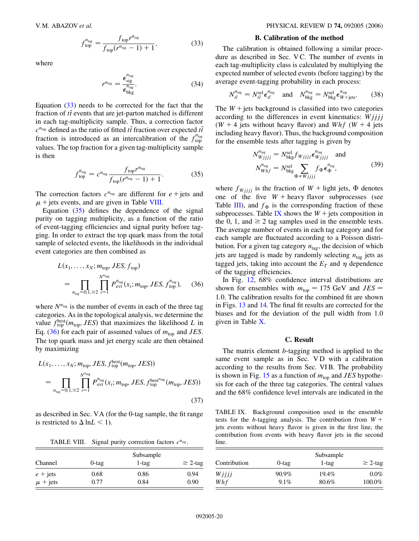$$
f_{\text{top}}^{n_{\text{tag}}} = \frac{f_{\text{top}} r^{n_{\text{tag}}}}{f_{\text{top}} (r^{n_{\text{tag}}} - 1) + 1},\tag{33}
$$

where

$$
r^{n_{\text{tag}}} = \frac{\epsilon_{\text{sig}}^{n_{\text{tag}}}}{\epsilon_{\text{bkg}}^{n_{\text{tag}}}}.
$$
 (34)

Equation [\(33\)](#page-18-1) needs to be corrected for the fact that the fraction of  $t\bar{t}$  events that are jet-parton matched is different in each tag-multiplicity sample. Thus, a correction factor  $c^{n_{\text{tag}}}$  defined as the ratio of fitted  $t\bar{t}$  fraction over expected  $t\bar{t}$ fraction is introduced as an intercalibration of the  $f_{\text{top}}^{n_{\text{tag}}}$ values. The top fraction for a given tag-multiplicity sample is then

$$
f_{\text{top}}^{n_{\text{tag}}} = c^{n_{\text{tag}}} \frac{f_{\text{top}} r^{n_{\text{tag}}}}{f_{\text{top}} (r^{n_{\text{tag}}} - 1) + 1}.
$$
 (35)

<span id="page-19-0"></span>The correction factors  $c^{n_{\text{tag}}}$  are different for  $e +$  jets and  $\mu$  + jets events, and are given in Table VIII.

Equation ([35](#page-19-0)) defines the dependence of the signal purity on tagging multiplicity, as a function of the ratio of event-tagging efficiencies and signal purity before tagging. In order to extract the top quark mass from the total sample of selected events, the likelihoods in the individual event categories are then combined as

<span id="page-19-1"></span>
$$
L(x_1, ..., x_N; m_{\text{top}}, JES, f_{\text{top}})
$$
  
= 
$$
\prod_{n_{\text{tag}}=0, 1, \ge 2} \prod_{i=1}^{N^{n_{\text{tag}}}} P_{\text{evt}}^{n_{\text{tag}}}(x_i; m_{\text{top}}, JES, f_{\text{top}}^{n_{\text{tag}}}),
$$
 (36)

where  $N^{n_{\text{tag}}}$  is the number of events in each of the three tag categories. As in the topological analysis, we determine the value  $f_{top}^{best}(m_{top}, JES)$  that maximizes the likelihood *L* in Eq. ([36](#page-19-1)) for each pair of assumed values of  $m_{\text{top}}$  and *JES*. The top quark mass and jet energy scale are then obtained by maximizing

$$
L(x_1, \ldots, x_N; m_{\text{top}}, JES, f_{\text{top}}^{\text{best}}(m_{\text{top}}, JES))
$$
  
= 
$$
\prod_{n_{\text{tag}}=0, 1, \ge 2} \prod_{i=1}^{N^{n_{\text{tag}}}} P_{\text{evt}}^{n_{\text{tag}}}(x_i; m_{\text{top}}, JES, f_{\text{top}}^{\text{best}^{n_{\text{tag}}}}(m_{\text{top}}, JES))
$$
(37)

as described in Sec. VA (for the 0-tag sample, the fit range is restricted to  $\Delta$  ln*L* < 1).

TABLE VIII. Signal purity correction factors  $c^{n_{\text{tag}}}.$ 

| Channel      | $0$ -tag | Subsample<br>$\geq$ 2-tag<br>$1$ -tag |      |
|--------------|----------|---------------------------------------|------|
| $e +$ jets   | 0.68     | 0.86                                  | 0.94 |
| $\mu$ + jets | 0.77     | 0.84                                  | 0.90 |

### **B. Calibration of the method**

The calibration is obtained following a similar procedure as described in Sec. V C. The number of events in each tag-multiplicity class is calculated by multiplying the expected number of selected events (before tagging) by the average event-tagging probability in each process:

$$
N_{t\bar{t}}^{n_{\text{tag}}} = N_{t\bar{t}}^{\text{sel}} \epsilon_{t\bar{t}}^{n_{\text{tag}}} \quad \text{and} \quad N_{\text{bkg}}^{n_{\text{tag}}} = N_{\text{bkg}}^{\text{sel}} \epsilon_{W + \text{jets}}^{n_{\text{tag}}} \tag{38}
$$

The  $W +$  jets background is classified into two categories according to the differences in event kinematics: *Wjjjj* ( $W + 4$  jets without heavy flavor) and  $Whf(W + 4)$  jets including heavy flavor). Thus, the background composition for the ensemble tests after tagging is given by

$$
N_{Wjjjj}^{n_{\text{tag}}} = N_{\text{bkg}}^{\text{sel}} f_{Wjjjj} \epsilon_{Wjjjj}^{n_{\text{tag}}} \text{ and}
$$
  

$$
N_{Whf}^{n_{\text{tag}}} = N_{\text{bkg}}^{\text{sel}} \sum_{\Phi \neq Wjjjj} f_{\Phi} \epsilon_{\Phi}^{n_{\text{tag}}}, \tag{39}
$$

where  $f_{Wjjjj}$  is the fraction of  $W$  + light jets,  $\Phi$  denotes one of the five  $W$  + heavy flavor subprocesses (see Table III), and  $f_{\Phi}$  is the corresponding fraction of these subprocesses. Table IX shows the  $W +$  jets composition in the 0, 1, and  $\geq 2$  tag samples used in the ensemble tests. The average number of events in each tag category and for each sample are fluctuated according to a Poisson distribution. For a given tag category  $n_{\text{tag}}$ , the decision of which jets are tagged is made by randomly selecting  $n_{\text{tag}}$  jets as tagged jets, taking into account the  $E_T$  and  $\eta$  dependence of the tagging efficiencies.

In Fig. [12](#page-20-0), 68% confidence interval distributions are shown for ensembles with  $m_{\text{top}} = 175 \text{ GeV}$  and  $JES =$ 1*:*0. The calibration results for the combined fit are shown in Figs. [13](#page-20-1) and [14.](#page-20-2) The final fit results are corrected for the biases and for the deviation of the pull width from 1.0 given in Table X.

# **C. Result**

The matrix element *b*-tagging method is applied to the same event sample as in Sec. VD with a calibration according to the results from Sec. VI B. The probability is shown in Fig. [15](#page-21-0) as a function of  $m_{\text{top}}$  and *JES* hypothesis for each of the three tag categories. The central values and the 68% confidence level intervals are indicated in the

TABLE IX. Background composition used in the ensemble tests for the *b*-tagging analysis. The contribution from  $W +$ jets events without heavy flavor is given in the first line, the contribution from events with heavy flavor jets in the second line.

| Contribution | $0$ -tag | Subsample<br>$1$ -tag | $\geq$ 2-tag |
|--------------|----------|-----------------------|--------------|
| Wjjjj        | $90.9\%$ | $19.4\%$              | $0.0\%$      |
| Whf          | $9.1\%$  | 80.6%                 | 100.0%       |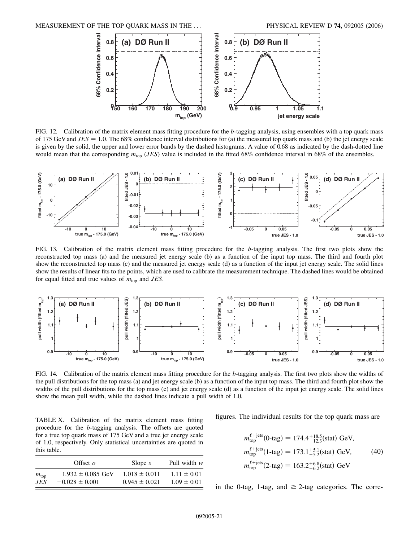<span id="page-20-0"></span>

FIG. 12. Calibration of the matrix element mass fitting procedure for the *b*-tagging analysis, using ensembles with a top quark mass of 175 GeV and  $JES = 1.0$ . The 68% confidence interval distributions for (a) the measured top quark mass and (b) the jet energy scale is given by the solid, the upper and lower error bands by the dashed histograms. A value of 0.68 as indicated by the dash-dotted line would mean that the corresponding  $m_{\text{top}}$  (*JES*) value is included in the fitted 68% confidence interval in 68% of the ensembles.

<span id="page-20-1"></span>

FIG. 13. Calibration of the matrix element mass fitting procedure for the *b*-tagging analysis. The first two plots show the reconstructed top mass (a) and the measured jet energy scale (b) as a function of the input top mass. The third and fourth plot show the reconstructed top mass (c) and the measured jet energy scale (d) as a function of the input jet energy scale. The solid lines show the results of linear fits to the points, which are used to calibrate the measurement technique. The dashed lines would be obtained for equal fitted and true values of  $m_{\text{top}}$  and *JES*.

<span id="page-20-2"></span>

FIG. 14. Calibration of the matrix element mass fitting procedure for the *b*-tagging analysis. The first two plots show the widths of the pull distributions for the top mass (a) and jet energy scale (b) as a function of the input top mass. The third and fourth plot show the widths of the pull distributions for the top mass (c) and jet energy scale (d) as a function of the input jet energy scale. The solid lines show the mean pull width, while the dashed lines indicate a pull width of 1.0.

TABLE X. Calibration of the matrix element mass fitting procedure for the *b*-tagging analysis. The offsets are quoted for a true top quark mass of 175 GeV and a true jet energy scale of 1.0, respectively. Only statistical uncertainties are quoted in this table.

|               | Offset $\rho$         | Slope $s$         | Pull width $w$  |
|---------------|-----------------------|-------------------|-----------------|
| $m_{\rm top}$ | $1.932 \pm 0.085$ GeV | $1.018 \pm 0.011$ | $1.11 + 0.01$   |
| .IES          | $-0.028 \pm 0.001$    | $0.945 \pm 0.021$ | $1.09 \pm 0.01$ |

figures. The individual results for the top quark mass are

$$
m_{\text{top}}^{\ell+\text{jets}}(0\text{-tag}) = 174.4^{+18.5}_{-12.3} \text{(stat)} \text{ GeV},
$$
  
\n
$$
m_{\text{top}}^{\ell+\text{jets}}(1\text{-tag}) = 173.1^{+5.1}_{-5.2} \text{(stat)} \text{ GeV}, \qquad (40)
$$
  
\n
$$
m_{\text{top}}^{\ell+\text{jets}}(2\text{-tag}) = 163.2^{+6.8}_{-6.2} \text{(stat)} \text{ GeV}
$$

in the 0-tag, 1-tag, and  $\geq$  2-tag categories. The corre-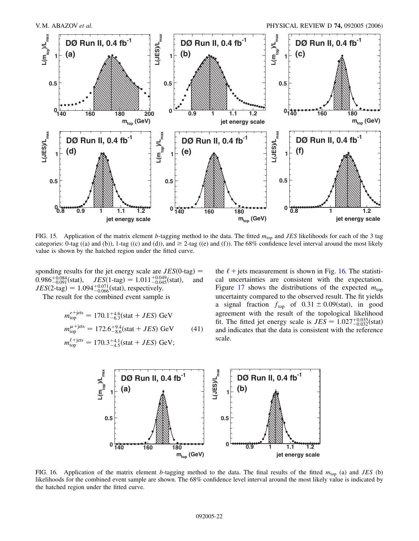<span id="page-21-0"></span>

FIG. 15. Application of the matrix element *b*-tagging method to the data. The fitted  $m_{\text{top}}$  and *JES* likelihoods for each of the 3 tag categories: 0-tag ((a) and (b)), 1-tag ((c) and (d)), and  $\geq$  2-tag ((e) and (f)). The 68% confidence level interval around the most likely value is shown by the hatched region under the fitted curve.

sponding results for the jet energy scale are  $JES(0-tag)$  =  $0.986^{+0.084}_{-0.091}$ (stat),  $JES(1-\text{tag}) = 1.011^{+0.049}_{-0.045}$ (stat), and  $JES(2\t{-}tag) = 1.094^{+0.071}_{-0.066}$  (stat), respectively.

The result for the combined event sample is

$$
m_{\text{top}}^{e+\text{jets}} = 170.1^{+4.6}_{-6.3} \text{(stat} + JES) \text{ GeV}
$$
  

$$
m_{\text{top}}^{\mu+\text{jets}} = 172.6^{+9.4}_{-8.6} \text{(stat} + JES) \text{ GeV} \tag{41}
$$

<span id="page-21-1"></span>
$$
m_{\text{top}}^{\ell+\text{jets}} = 170.3^{+4.1}_{-4.5} \text{(stat} + JES) \text{ GeV};
$$

the  $\ell$  + jets measurement is shown in Fig. [16.](#page-21-1) The statistical uncertainties are consistent with the expectation. Figure [17](#page-22-0) shows the distributions of the expected  $m_{\text{top}}$ uncertainty compared to the observed result. The fit yields a signal fraction  $f_{\text{top}}$  of  $0.31 \pm 0.09$  (stat), in good agreement with the result of the topological likelihood fit. The fitted jet energy scale is  $JES = 1.027^{+0.035}_{-0.032}$  (stat) and indicates that the data is consistent with the reference scale.



FIG. 16. Application of the matrix element *b*-tagging method to the data. The final results of the fitted  $m_{top}$  (a) and *JES* (b) likelihoods for the combined event sample are shown. The 68% confidence level interval around the most likely value is indicated by the hatched region under the fitted curve.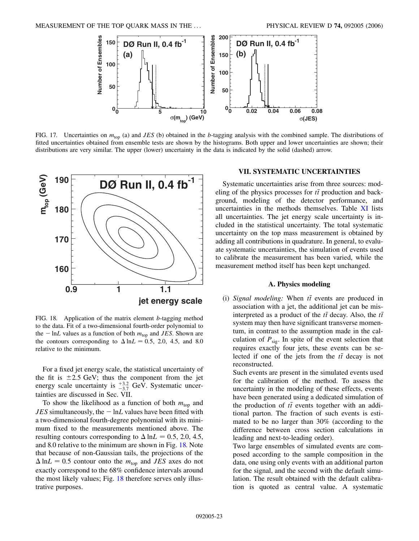<span id="page-22-0"></span>

FIG. 17. Uncertainties on  $m_{\text{top}}$  (a) and *JES* (b) obtained in the *b*-tagging analysis with the combined sample. The distributions of fitted uncertainties obtained from ensemble tests are shown by the histograms. Both upper and lower uncertainties are shown; their distributions are very similar. The upper (lower) uncertainty in the data is indicated by the solid (dashed) arrow.

<span id="page-22-1"></span>

FIG. 18. Application of the matrix element *b*-tagging method to the data. Fit of a two-dimensional fourth-order polynomial to the  $- \ln L$  values as a function of both  $m_{\text{top}}$  and *JES*. Shown are the contours corresponding to  $\Delta$  ln*L* = 0.5, 2.0, 4.5, and 8.0 relative to the minimum.

For a fixed jet energy scale, the statistical uncertainty of the fit is  $\pm 2.5$  GeV; thus the component from the jet energy scale uncertainty is  $^{+3.2}_{-3.7}$  GeV. Systematic uncertainties are discussed in Sec. VII.

To show the likelihood as a function of both  $m_{top}$  and  $JES$  simultaneously, the  $-\ln L$  values have been fitted with a two-dimensional fourth-degree polynomial with its minimum fixed to the measurements mentioned above. The resulting contours corresponding to  $\Delta$  ln*L* = 0.5, 2.0, 4.5, and 8.0 relative to the minimum are shown in Fig. [18.](#page-22-1) Note that because of non-Gaussian tails, the projections of the  $\Delta$  ln*L* = 0.5 contour onto the  $m_{top}$  and *JES* axes do not exactly correspond to the 68% confidence intervals around the most likely values; Fig. [18](#page-22-1) therefore serves only illustrative purposes.

# **VII. SYSTEMATIC UNCERTAINTIES**

Systematic uncertainties arise from three sources: modeling of the physics processes for  $t\bar{t}$  production and background, modeling of the detector performance, and uncertainties in the methods themselves. Table XI lists all uncertainties. The jet energy scale uncertainty is included in the statistical uncertainty. The total systematic uncertainty on the top mass measurement is obtained by adding all contributions in quadrature. In general, to evaluate systematic uncertainties, the simulation of events used to calibrate the measurement has been varied, while the measurement method itself has been kept unchanged.

## **A. Physics modeling**

(i) *Signal modeling:* When  $t\bar{t}$  events are produced in association with a jet, the additional jet can be misinterpreted as a product of the  $t\bar{t}$  decay. Also, the  $t\bar{t}$ system may then have significant transverse momentum, in contrast to the assumption made in the calculation of  $P_{sig}$ . In spite of the event selection that requires exactly four jets, these events can be selected if one of the jets from the  $t\bar{t}$  decay is not reconstructed.

Such events are present in the simulated events used for the calibration of the method. To assess the uncertainty in the modeling of these effects, events have been generated using a dedicated simulation of the production of  $t\bar{t}$  events together with an additional parton. The fraction of such events is estimated to be no larger than 30% (according to the difference between cross section calculations in leading and next-to-leading order).

Two large ensembles of simulated events are composed according to the sample composition in the data, one using only events with an additional parton for the signal, and the second with the default simulation. The result obtained with the default calibration is quoted as central value. A systematic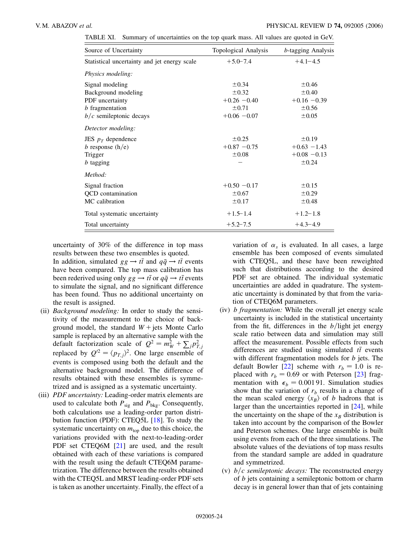| TABLE XI. Summary of uncertainties on the top quark mass. All values are quoted in GeV. |  |
|-----------------------------------------------------------------------------------------|--|
|-----------------------------------------------------------------------------------------|--|

| Source of Uncertainty                        | Topological Analysis | <i>b</i> -tagging Analysis |
|----------------------------------------------|----------------------|----------------------------|
| Statistical uncertainty and jet energy scale | $+5.0 - 7.4$         | $+4.1 - 4.5$               |
| Physics modeling:                            |                      |                            |
| Signal modeling                              | $\pm 0.34$           | $\pm 0.46$                 |
| Background modeling                          | $\pm 0.32$           | $\pm 0.40$                 |
| PDF uncertainty                              | $+0.26 - 0.40$       | $+0.16 - 0.39$             |
| <i>b</i> fragmentation                       | $\pm 0.71$           | $\pm 0.56$                 |
| $b/c$ semileptonic decays                    | $+0.06 - 0.07$       | $\pm 0.05$                 |
| Detector modeling:                           |                      |                            |
| JES $p_T$ dependence                         | $\pm 0.25$           | $\pm 0.19$                 |
| b response $(h/e)$                           | $+0.87 - 0.75$       | $+0.63 -1.43$              |
| Trigger                                      | ±0.08                | $+0.08 - 0.13$             |
| <i>b</i> tagging                             |                      | ±0.24                      |
| Method:                                      |                      |                            |
| Signal fraction                              | $+0.50 - 0.17$       | $\pm 0.15$                 |
| <b>QCD</b> contamination                     | $\pm 0.67$           | $\pm 0.29$                 |
| MC calibration                               | $\pm 0.17$           | $\pm 0.48$                 |
| Total systematic uncertainty                 | $+1.5 - 1.4$         | $+1.2 - 1.8$               |
| Total uncertainty                            | $+5.2 - 7.5$         | $+4.3 - 4.9$               |

uncertainty of 30% of the difference in top mass results between these two ensembles is quoted.

In addition, simulated  $gg \to t\bar{t}$  and  $q\bar{q} \to t\bar{t}$  events have been compared. The top mass calibration has been rederived using only  $gg \to t\bar{t}$  or  $q\bar{q} \to t\bar{t}$  events to simulate the signal, and no significant difference has been found. Thus no additional uncertainty on the result is assigned.

- (ii) *Background modeling:* In order to study the sensitivity of the measurement to the choice of background model, the standard  $W + j$ ets Monte Carlo sample is replaced by an alternative sample with the default factorization scale of  $Q^2 = m_W^2 + \sum_j p_{T,j}^2$ <br>replaced by  $Q'^2 = \langle p_{T,j} \rangle^2$ . One large ensemble of events is composed using both the default and the alternative background model. The difference of results obtained with these ensembles is symmetrized and is assigned as a systematic uncertainty.
- (iii) *PDF uncertainty:* Leading-order matrix elements are used to calculate both  $P_{sig}$  and  $P_{bkg}$ . Consequently, both calculations use a leading-order parton distribution function (PDF): CTEQ5L [[18](#page-25-17)]. To study the systematic uncertainty on  $m_{\text{top}}$  due to this choice, the variations provided with the next-to-leading-order PDF set CTEQ6M [[21](#page-25-20)] are used, and the result obtained with each of these variations is compared with the result using the default CTEQ6M parametrization. The difference between the results obtained with the CTEQ5L and MRST leading-order PDF sets is taken as another uncertainty. Finally, the effect of a

variation of  $\alpha_s$  is evaluated. In all cases, a large ensemble has been composed of events simulated with CTEQ5L, and these have been reweighted such that distributions according to the desired PDF set are obtained. The individual systematic uncertainties are added in quadrature. The systematic uncertainty is dominated by that from the variation of CTEQ6M parameters.

- (iv) *b fragmentation:* While the overall jet energy scale uncertainty is included in the statistical uncertainty from the fit, differences in the  $b$ /light jet energy scale ratio between data and simulation may still affect the measurement. Possible effects from such differences are studied using simulated  $t\bar{t}$  events with different fragmentation models for *b* jets. The default Bowler [\[22](#page-25-21)] scheme with  $r_b = 1.0$  is replaced with  $r_b = 0.69$  or with Peterson [[23\]](#page-25-22) fragmentation with  $\epsilon_b = 0.00191$ . Simulation studies show that the variation of  $r_b$  results in a change of the mean scaled energy  $\langle x_R \rangle$  of *b* hadrons that is larger than the uncertainties reported in [[24](#page-25-23)], while the uncertainty on the shape of the  $x_B$  distribution is taken into account by the comparison of the Bowler and Peterson schemes. One large ensemble is built using events from each of the three simulations. The absolute values of the deviations of top mass results from the standard sample are added in quadrature and symmetrized.
- (v)  $b/c$  *semileptonic decays:* The reconstructed energy of *b* jets containing a semileptonic bottom or charm decay is in general lower than that of jets containing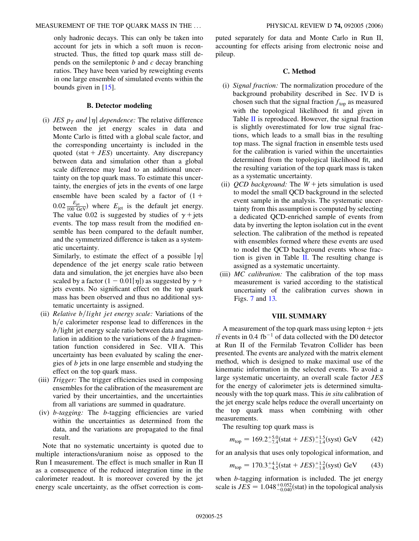only hadronic decays. This can only be taken into account for jets in which a soft muon is reconstructed. Thus, the fitted top quark mass still depends on the semileptonic *b* and *c* decay branching ratios. They have been varied by reweighting events in one large ensemble of simulated events within the bounds given in [[15](#page-25-14)].

# **B. Detector modeling**

(i) *JES*  $p_T$  *and*  $|\eta|$  *dependence:* The relative difference between the jet energy scales in data and Monte Carlo is fitted with a global scale factor, and the corresponding uncertainty is included in the quoted (stat  $+ JES$ ) uncertainty. Any discrepancy between data and simulation other than a global scale difference may lead to an additional uncertainty on the top quark mass. To estimate this uncertainty, the energies of jets in the events of one large ensemble have been scaled by a factor of  $(1 +$  $0.02 \frac{E_{\text{jet}}}{100 \text{ GeV}}$  where  $E_{\text{jet}}$  is the default jet energy. The value 0.02 is suggested by studies of  $\gamma$  + jets events. The top mass result from the modified ensemble has been compared to the default number, and the symmetrized difference is taken as a systematic uncertainty.

Similarly, to estimate the effect of a possible  $|\eta|$ dependence of the jet energy scale ratio between data and simulation, the jet energies have also been scaled by a factor  $(1 - 0.01|\eta|)$  as suggested by  $\gamma$  + jets events. No significant effect on the top quark mass has been observed and thus no additional systematic uncertainty is assigned.

- (ii) *Relative b*/*light jet energy scale:* Variations of the h/e calorimeter response lead to differences in the *b*/light jet energy scale ratio between data and simulation in addition to the variations of the *b* fragmentation function considered in Sec. VII A. This uncertainty has been evaluated by scaling the energies of *b* jets in one large ensemble and studying the effect on the top quark mass.
- (iii) *Trigger:* The trigger efficiencies used in composing ensembles for the calibration of the measurement are varied by their uncertainties, and the uncertainties from all variations are summed in quadrature.
- (iv) *b-tagging:* The *b*-tagging efficiencies are varied within the uncertainties as determined from the data, and the variations are propagated to the final result.

Note that no systematic uncertainty is quoted due to multiple interactions/uranium noise as opposed to the Run I measurement. The effect is much smaller in Run II as a consequence of the reduced integration time in the calorimeter readout. It is moreover covered by the jet energy scale uncertainty, as the offset correction is computed separately for data and Monte Carlo in Run II, accounting for effects arising from electronic noise and pileup.

# **C. Method**

- (i) *Signal fraction:* The normalization procedure of the background probability described in Sec. IV D is chosen such that the signal fraction  $f_{\text{top}}$  as measured with the topological likelihood fit and given in Table II is reproduced. However, the signal fraction is slightly overestimated for low true signal fractions, which leads to a small bias in the resulting top mass. The signal fraction in ensemble tests used for the calibration is varied within the uncertainties determined from the topological likelihood fit, and the resulting variation of the top quark mass is taken as a systematic uncertainty.
- (ii)  $QCD$  background: The  $W +$  jets simulation is used to model the small QCD background in the selected event sample in the analysis. The systematic uncertainty from this assumption is computed by selecting a dedicated QCD-enriched sample of events from data by inverting the lepton isolation cut in the event selection. The calibration of the method is repeated with ensembles formed where these events are used to model the QCD background events whose fraction is given in Table II. The resulting change is assigned as a systematic uncertainty.
- (iii) *MC calibration:* The calibration of the top mass measurement is varied according to the statistical uncertainty of the calibration curves shown in Figs. [7](#page-16-1) and [13.](#page-20-1)

# **VIII. SUMMARY**

A measurement of the top quark mass using lepton  $+$  jets  $t\bar{t}$  events in 0.4 fb<sup>-1</sup> of data collected with the D0 detector at Run II of the Fermilab Tevatron Collider has been presented. The events are analyzed with the matrix element method, which is designed to make maximal use of the kinematic information in the selected events. To avoid a large systematic uncertainty, an overall scale factor *JES* for the energy of calorimeter jets is determined simultaneously with the top quark mass. This *in situ* calibration of the jet energy scale helps reduce the overall uncertainty on the top quark mass when combining with other measurements.

The resulting top quark mass is

$$
m_{\text{top}} = 169.2^{+5.0}_{-7.4} \text{(stat} + JES)^{+1.5}_{-1.4} \text{(syst) GeV} \tag{42}
$$

for an analysis that uses only topological information, and

$$
m_{\text{top}} = 170.3^{+4.1}_{-4.5} \text{(stat} + JES)^{+1.2}_{-1.8} \text{(syst) GeV} \tag{43}
$$

when *b*-tagging information is included. The jet energy scale is  $JES = 1.048^{+0.052}_{-0.040}$  (stat) in the topological analysis